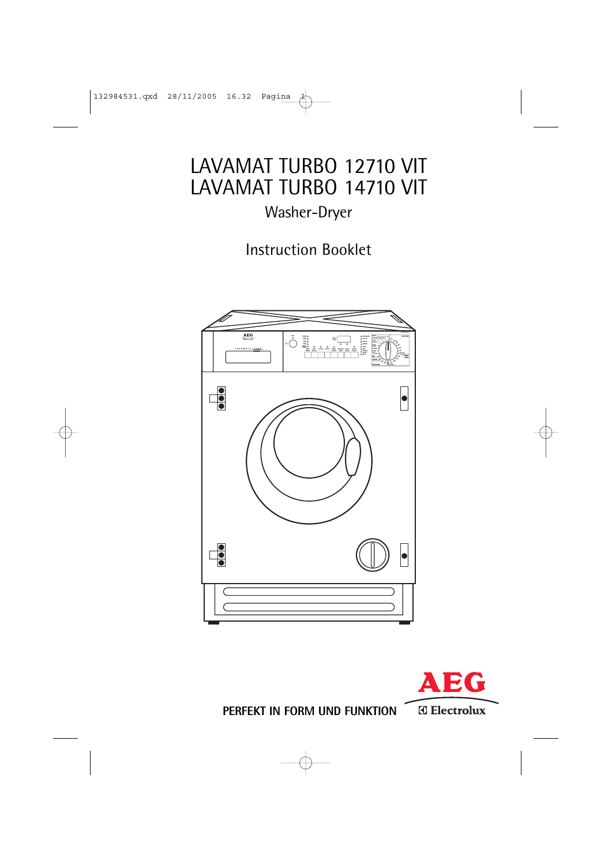# LAVAMAT TURBO 12710 VIT LAVAMAT TURBO 14710 VIT

# Washer-Dryer

Instruction Booklet





**PERFEKT IN FORM UND FUNKTION**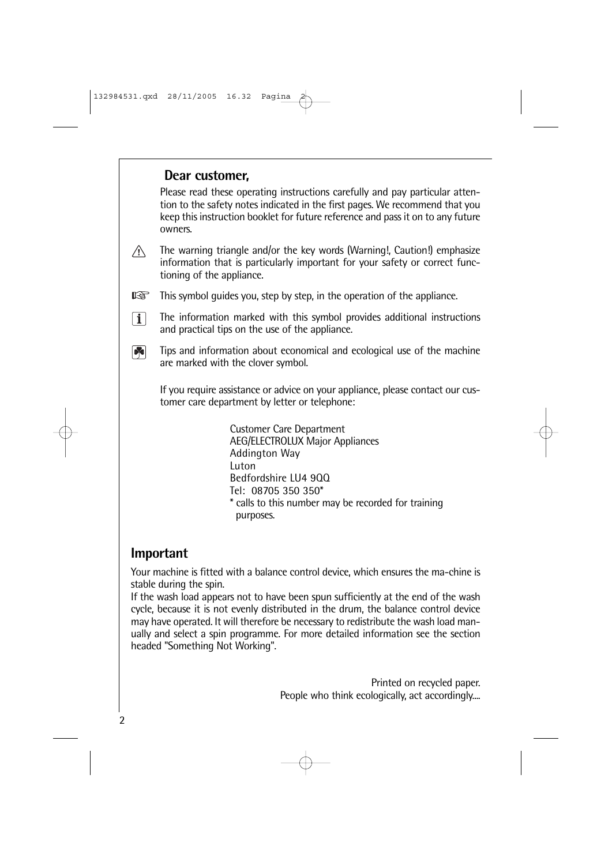### **Dear customer,**

Please read these operating instructions carefully and pay particular attention to the safety notes indicated in the first pages. We recommend that you keep this instruction booklet for future reference and pass it on to any future owners.

 $\bigwedge$ The warning triangle and/or the key words (Warning!, Caution!) emphasize information that is particularly important for your safety or correct functioning of the appliance.

**KA** This symbol guides you, step by step, in the operation of the appliance.

- $\lceil \mathbf{i} \rceil$ The information marked with this symbol provides additional instructions and practical tips on the use of the appliance.
- $\boxed{8}$ Tips and information about economical and ecological use of the machine are marked with the clover symbol.

If you require assistance or advice on your appliance, please contact our customer care department by letter or telephone:

> Customer Care Department AEG/ELECTROLUX Major Appliances Addington Way Luton Bedfordshire LU4 9QQ Tel: 08705 350 350\* \* calls to this number may be recorded for training purposes.

### **Important**

Your machine is fitted with a balance control device, which ensures the ma-chine is stable during the spin.

If the wash load appears not to have been spun sufficiently at the end of the wash cycle, because it is not evenly distributed in the drum, the balance control device may have operated. It will therefore be necessary to redistribute the wash load manually and select a spin programme. For more detailed information see the section headed "Something Not Working".

> Printed on recycled paper. People who think ecologically, act accordingly....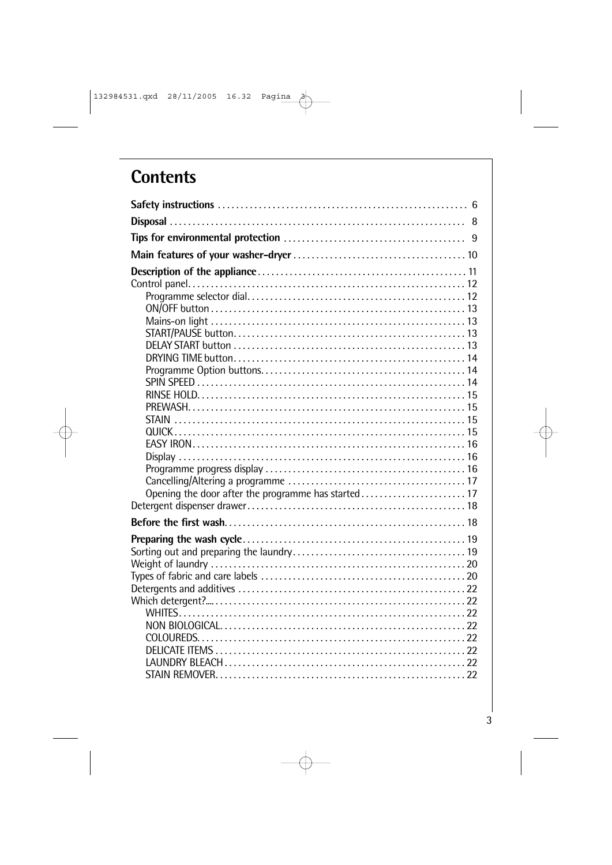# **Contents**

| Opening the door after the programme has started 17 |  |
|-----------------------------------------------------|--|
|                                                     |  |
|                                                     |  |
|                                                     |  |
|                                                     |  |
|                                                     |  |
|                                                     |  |
|                                                     |  |
|                                                     |  |
|                                                     |  |
|                                                     |  |
|                                                     |  |
|                                                     |  |
|                                                     |  |
|                                                     |  |
|                                                     |  |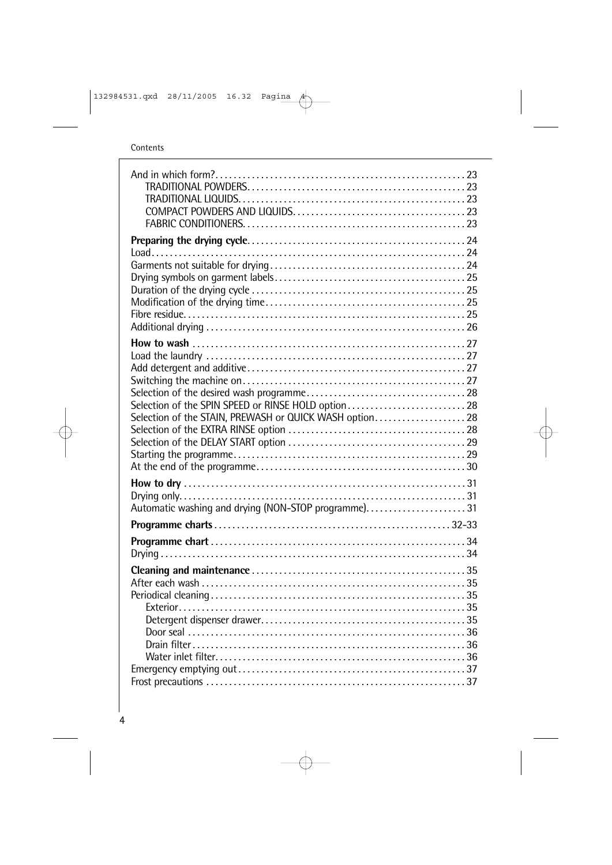Contents

| Selection of the SPIN SPEED or RINSE HOLD option 28<br>Selection of the STAIN, PREWASH or QUICK WASH option 28 |  |
|----------------------------------------------------------------------------------------------------------------|--|
|                                                                                                                |  |
|                                                                                                                |  |
|                                                                                                                |  |
|                                                                                                                |  |
|                                                                                                                |  |
|                                                                                                                |  |
| Automatic washing and drying (NON-STOP programme)31                                                            |  |
|                                                                                                                |  |
|                                                                                                                |  |
|                                                                                                                |  |
|                                                                                                                |  |
|                                                                                                                |  |
|                                                                                                                |  |
|                                                                                                                |  |
|                                                                                                                |  |
|                                                                                                                |  |
|                                                                                                                |  |
|                                                                                                                |  |
|                                                                                                                |  |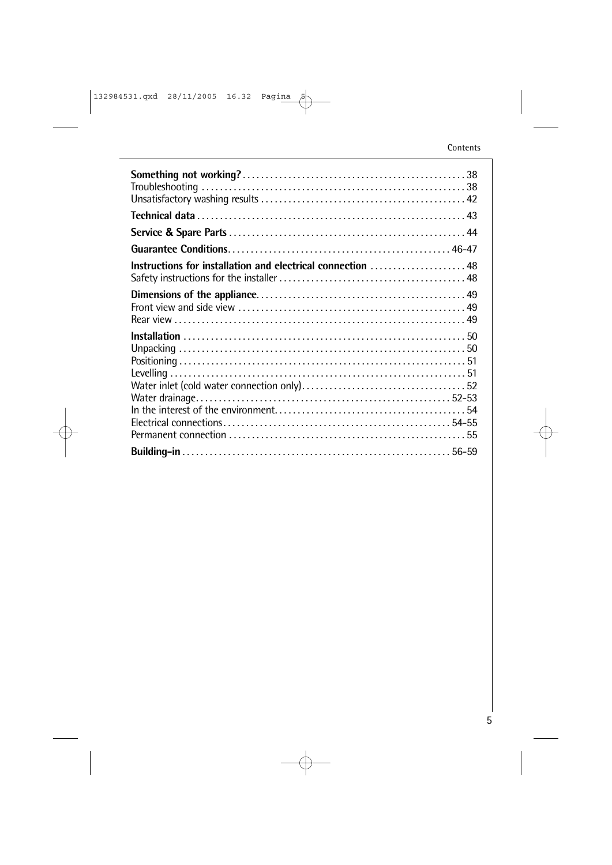| Instructions for installation and electrical connection  48 |  |
|-------------------------------------------------------------|--|
|                                                             |  |
|                                                             |  |
|                                                             |  |
|                                                             |  |
|                                                             |  |
|                                                             |  |
|                                                             |  |
|                                                             |  |
|                                                             |  |
|                                                             |  |
|                                                             |  |
|                                                             |  |
|                                                             |  |
|                                                             |  |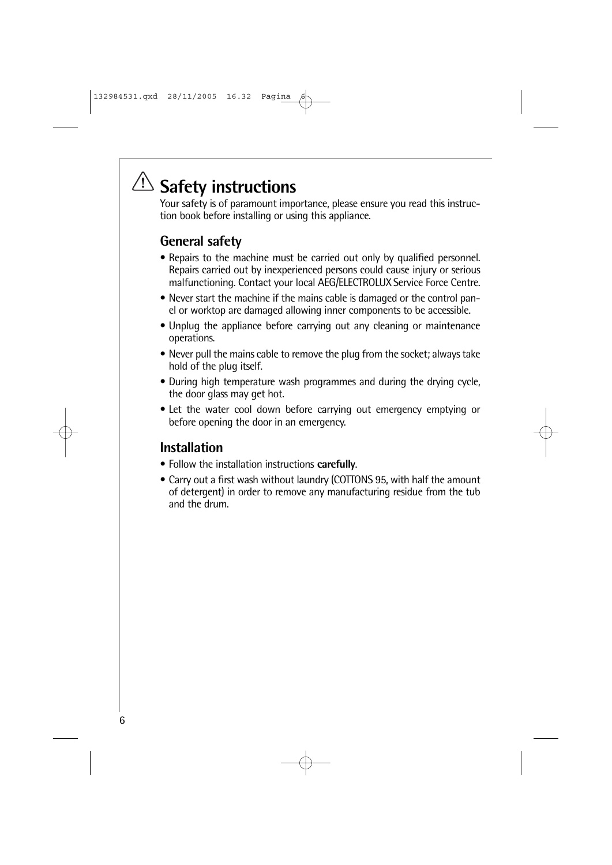# **Safety instructions**

Your safety is of paramount importance, please ensure you read this instruction book before installing or using this appliance.

# **General safety**

- Repairs to the machine must be carried out only by qualified personnel. Repairs carried out by inexperienced persons could cause injury or serious malfunctioning. Contact your local AEG/ELECTROLUX Service Force Centre.
- Never start the machine if the mains cable is damaged or the control panel or worktop are damaged allowing inner components to be accessible.
- Unplug the appliance before carrying out any cleaning or maintenance operations.
- Never pull the mains cable to remove the plug from the socket; always take hold of the plug itself.
- During high temperature wash programmes and during the drying cycle, the door glass may get hot.
- Let the water cool down before carrying out emergency emptying or before opening the door in an emergency.

# **Installation**

- Follow the installation instructions **carefully**.
- Carry out a first wash without laundry (COTTONS 95, with half the amount of detergent) in order to remove any manufacturing residue from the tub and the drum.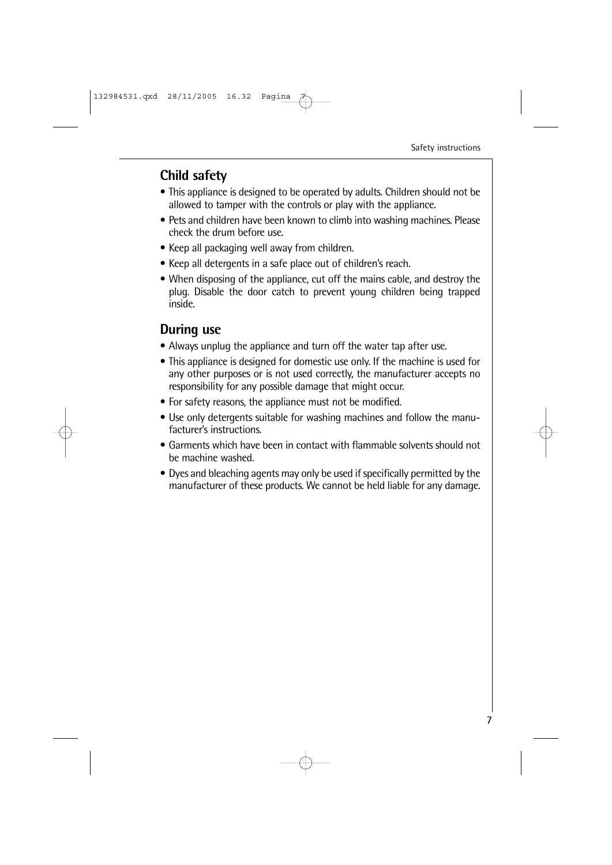### **Child safety**

- This appliance is designed to be operated by adults. Children should not be allowed to tamper with the controls or play with the appliance.
- Pets and children have been known to climb into washing machines. Please check the drum before use.
- Keep all packaging well away from children.
- Keep all detergents in a safe place out of children's reach.
- When disposing of the appliance, cut off the mains cable, and destroy the plug. Disable the door catch to prevent young children being trapped inside.

### **During use**

- Always unplug the appliance and turn off the water tap after use.
- This appliance is designed for domestic use only. If the machine is used for any other purposes or is not used correctly, the manufacturer accepts no responsibility for any possible damage that might occur.
- For safety reasons, the appliance must not be modified.
- Use only detergents suitable for washing machines and follow the manufacturer's instructions.
- Garments which have been in contact with flammable solvents should not be machine washed.
- Dyes and bleaching agents may only be used if specifically permitted by the manufacturer of these products. We cannot be held liable for any damage.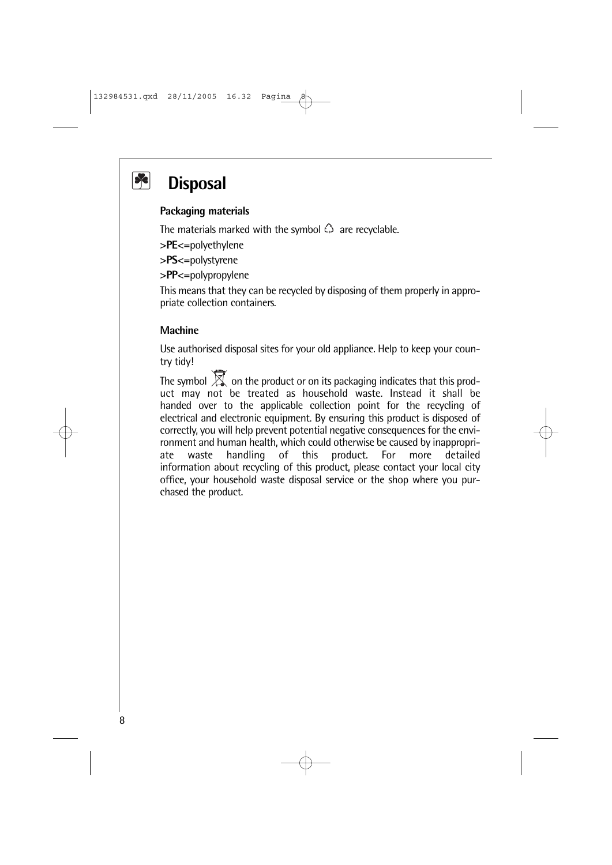# $\left| \cdot \right|$

# **Disposal**

#### **Packaging materials**

The materials marked with the symbol  $\hat{\omega}$  are recyclable.

**>PE<**=polyethylene

**>PS<**=polystyrene

**>PP<**=polypropylene

This means that they can be recycled by disposing of them properly in appropriate collection containers.

#### **Machine**

Use authorised disposal sites for your old appliance. Help to keep your country tidy!

The symbol  $\overline{\mathbb{X}}$  on the product or on its packaging indicates that this product may not be treated as household waste. Instead it shall be handed over to the applicable collection point for the recycling of electrical and electronic equipment. By ensuring this product is disposed of correctly, you will help prevent potential negative consequences for the environment and human health, which could otherwise be caused by inappropriate waste handling of this product. For more detailed information about recycling of this product, please contact your local city office, your household waste disposal service or the shop where you purchased the product.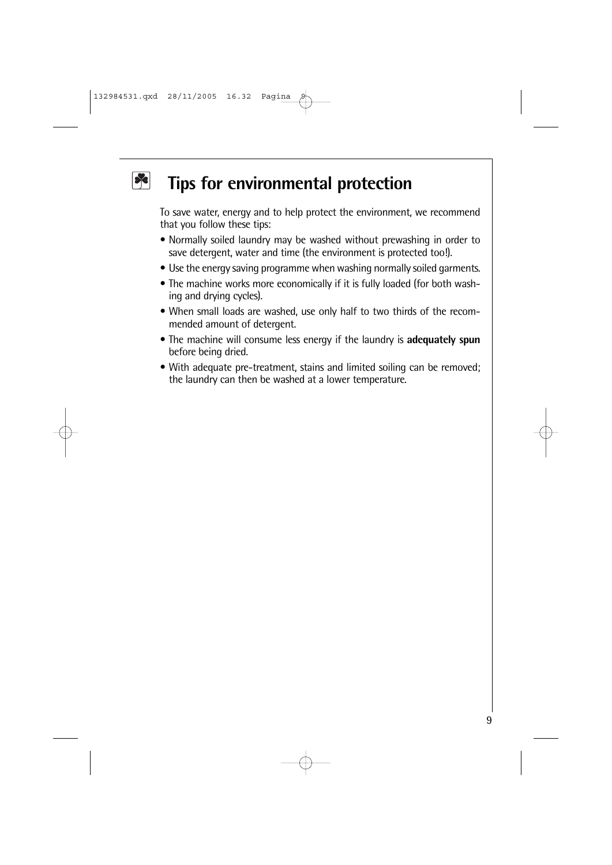#### $|\mathcal{R}|$ **Tips for environmental protection**

To save water, energy and to help protect the environment, we recommend that you follow these tips:

- Normally soiled laundry may be washed without prewashing in order to save detergent, water and time (the environment is protected too!).
- Use the energy saving programme when washing normally soiled garments.
- The machine works more economically if it is fully loaded (for both washing and drying cycles).
- When small loads are washed, use only half to two thirds of the recommended amount of detergent.
- The machine will consume less energy if the laundry is **adequately spun** before being dried.
- With adequate pre-treatment, stains and limited soiling can be removed; the laundry can then be washed at a lower temperature.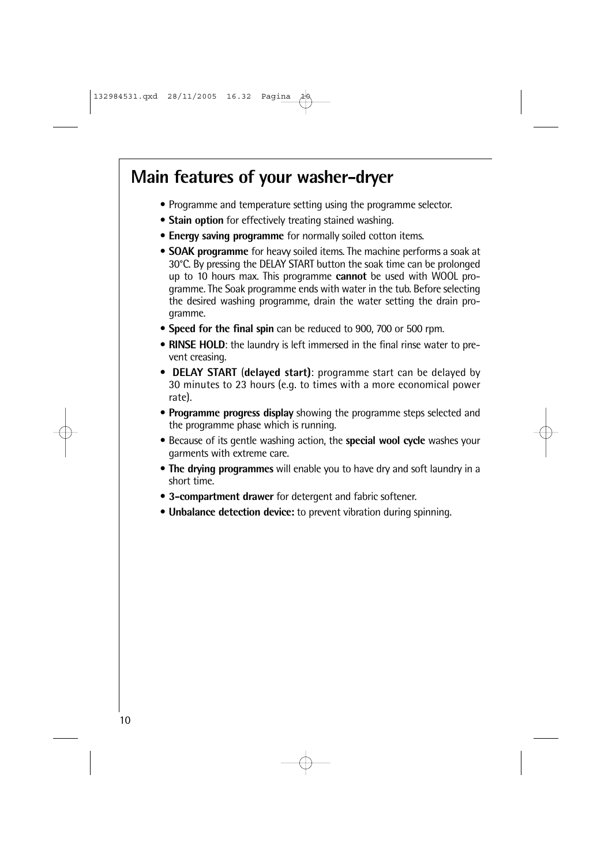# **Main features of your washer-dryer**

- Programme and temperature setting using the programme selector.
- **Stain option** for effectively treating stained washing.
- **Energy saving programme** for normally soiled cotton items.
- **SOAK programme** for heavy soiled items. The machine performs a soak at 30°C. By pressing the DELAY START button the soak time can be prolonged up to 10 hours max. This programme **cannot** be used with WOOL programme. The Soak programme ends with water in the tub. Before selecting the desired washing programme, drain the water setting the drain programme.
- **Speed for the final spin** can be reduced to 900, 700 or 500 rpm.
- **RINSE HOLD**: the laundry is left immersed in the final rinse water to prevent creasing.
- **DELAY START** (**delayed start)**: programme start can be delayed by 30 minutes to 23 hours (e.g. to times with a more economical power rate).
- **Programme progress display** showing the programme steps selected and the programme phase which is running.
- Because of its gentle washing action, the **special wool cycle** washes your garments with extreme care.
- **The drying programmes** will enable you to have dry and soft laundry in a short time.
- **3-compartment drawer** for detergent and fabric softener.
- **Unbalance detection device:** to prevent vibration during spinning.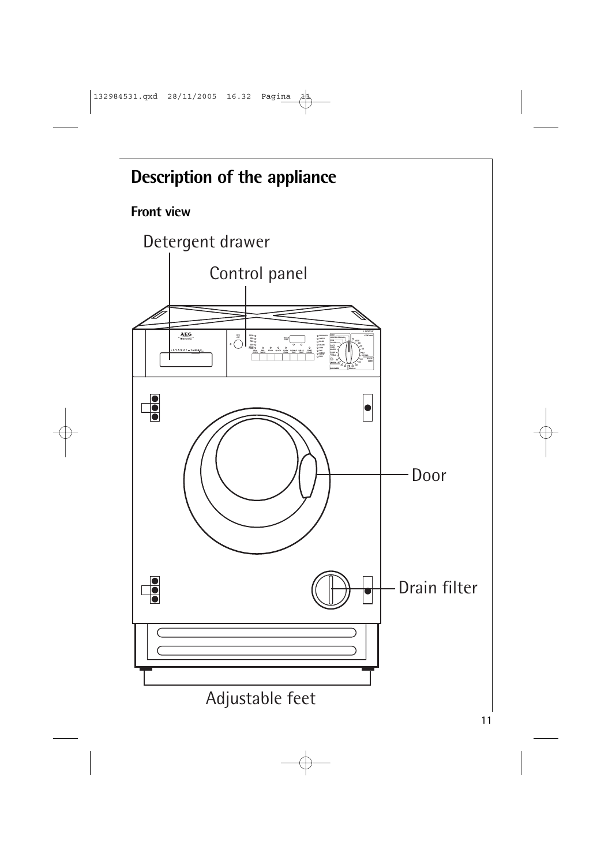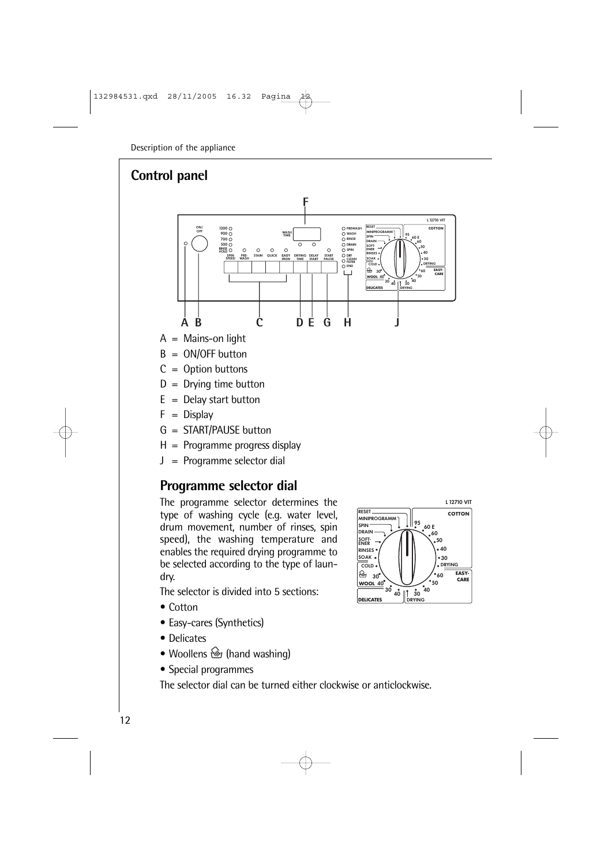# **Control panel**



- $A =$  Mains-on light
- $B = ON/OFF$  button
- $C =$  Option buttons
- $D =$  Drying time button
- $E =$  Delay start button
- $F = Display$
- G = START/PAUSE button
- $H =$  Programme progress display
- J = Programme selector dial

# **Programme selector dial**

The programme selector determines the type of washing cycle (e.g. water level, drum movement, number of rinses, spin speed), the washing temperature and enables the required drying programme to be selected according to the type of laundry.

The selector is divided into 5 sections:

- Cotton
- Easy-cares (Synthetics)
- Delicates
- Woollens  $\mathcal{L}$  (hand washing)
- Special programmes

The selector dial can be turned either clockwise or anticlockwise.

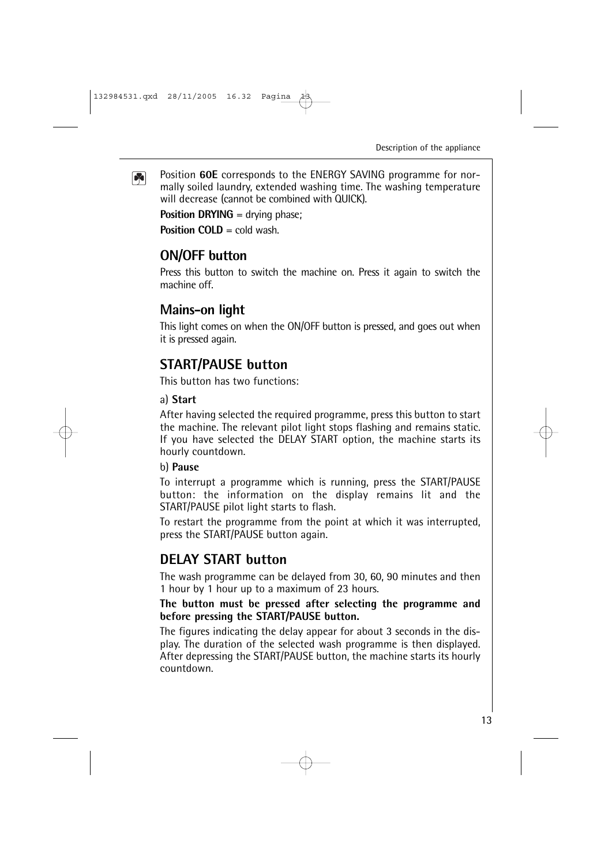Position **60E** corresponds to the ENERGY SAVING programme for nor- $\boxed{8}$ mally soiled laundry, extended washing time. The washing temperature will decrease (cannot be combined with QUICK).

**Position DRYING** = drying phase;

**Position COLD** = cold wash.

### **ON/OFF button**

Press this button to switch the machine on. Press it again to switch the machine off.

### **Mains-on light**

This light comes on when the ON/OFF button is pressed, and goes out when it is pressed again.

# **START/PAUSE button**

This button has two functions:

#### a) **Start**

After having selected the required programme, press this button to start the machine. The relevant pilot light stops flashing and remains static. If you have selected the DELAY START option, the machine starts its hourly countdown.

#### b) **Pause**

To interrupt a programme which is running, press the START/PAUSE button: the information on the display remains lit and the START/PAUSE pilot light starts to flash.

To restart the programme from the point at which it was interrupted, press the START/PAUSE button again.

# **DELAY START button**

The wash programme can be delayed from 30, 60, 90 minutes and then 1 hour by 1 hour up to a maximum of 23 hours.

#### **The button must be pressed after selecting the programme and before pressing the START/PAUSE button.**

The figures indicating the delay appear for about 3 seconds in the display. The duration of the selected wash programme is then displayed. After depressing the START/PAUSE button, the machine starts its hourly countdown.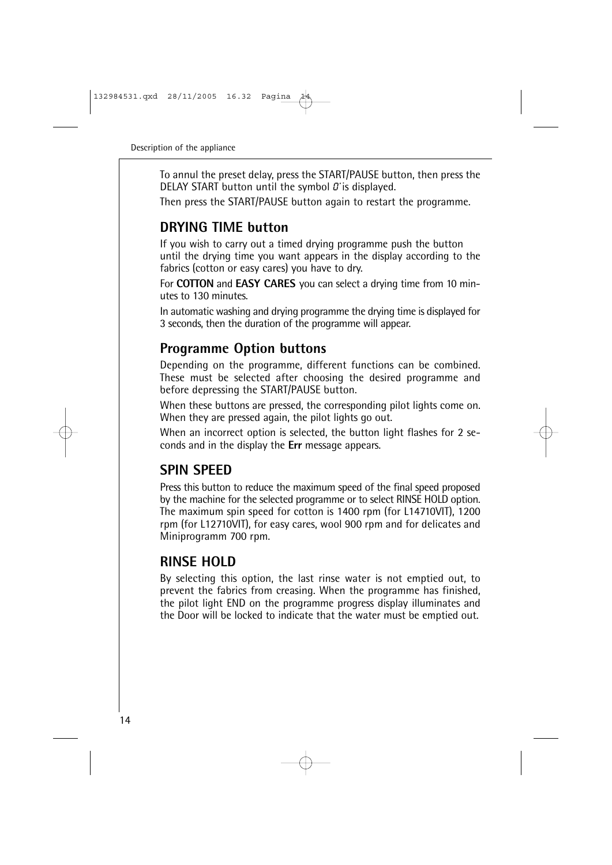To annul the preset delay, press the START/PAUSE button, then press the DELAY START button until the symbol  $\theta$  is displayed.

Then press the START/PAUSE button again to restart the programme.

# **DRYING TIME button**

If you wish to carry out a timed drying programme push the button until the drying time you want appears in the display according to the fabrics (cotton or easy cares) you have to dry.

For **COTTON** and **EASY CARES** you can select a drying time from 10 minutes to 130 minutes.

In automatic washing and drying programme the drying time is displayed for 3 seconds, then the duration of the programme will appear.

# **Programme Option buttons**

Depending on the programme, different functions can be combined. These must be selected after choosing the desired programme and before depressing the START/PAUSE button.

When these buttons are pressed, the corresponding pilot lights come on. When they are pressed again, the pilot lights go out.

When an incorrect option is selected, the button light flashes for 2 seconds and in the display the **Err** message appears.

# **SPIN SPEED**

Press this button to reduce the maximum speed of the final speed proposed by the machine for the selected programme or to select RINSE HOLD option. The maximum spin speed for cotton is 1400 rpm (for L14710VIT), 1200 rpm (for L12710VIT), for easy cares, wool 900 rpm and for delicates and Miniprogramm 700 rpm.

# **RINSE HOLD**

By selecting this option, the last rinse water is not emptied out, to prevent the fabrics from creasing. When the programme has finished, the pilot light END on the programme progress display illuminates and the Door will be locked to indicate that the water must be emptied out.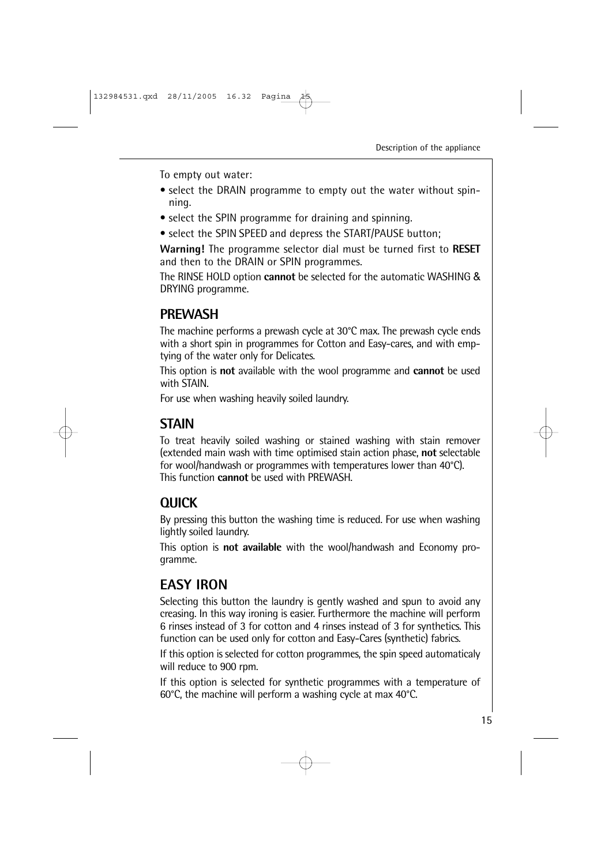To empty out water:

- select the DRAIN programme to empty out the water without spinning.
- select the SPIN programme for draining and spinning.
- select the SPIN SPEED and depress the START/PAUSE button;

**Warning!** The programme selector dial must be turned first to **RESET** and then to the DRAIN or SPIN programmes.

The RINSE HOLD option **cannot** be selected for the automatic WASHING & DRYING programme.

# **PREWASH**

The machine performs a prewash cycle at 30°C max. The prewash cycle ends with a short spin in programmes for Cotton and Easy-cares, and with emptying of the water only for Delicates.

This option is **not** available with the wool programme and **cannot** be used with STAIN.

For use when washing heavily soiled laundry.

# **STAIN**

To treat heavily soiled washing or stained washing with stain remover (extended main wash with time optimised stain action phase, **not** selectable for wool/handwash or programmes with temperatures lower than 40°C). This function **cannot** be used with PREWASH.

# **QUICK**

By pressing this button the washing time is reduced. For use when washing lightly soiled laundry.

This option is **not available** with the wool/handwash and Economy programme.

# **EASY IRON**

Selecting this button the laundry is gently washed and spun to avoid any creasing. In this way ironing is easier. Furthermore the machine will perform 6 rinses instead of 3 for cotton and 4 rinses instead of 3 for synthetics. This function can be used only for cotton and Easy-Cares (synthetic) fabrics.

If this option is selected for cotton programmes, the spin speed automaticaly will reduce to 900 rpm.

If this option is selected for synthetic programmes with a temperature of 60°C, the machine will perform a washing cycle at max 40°C.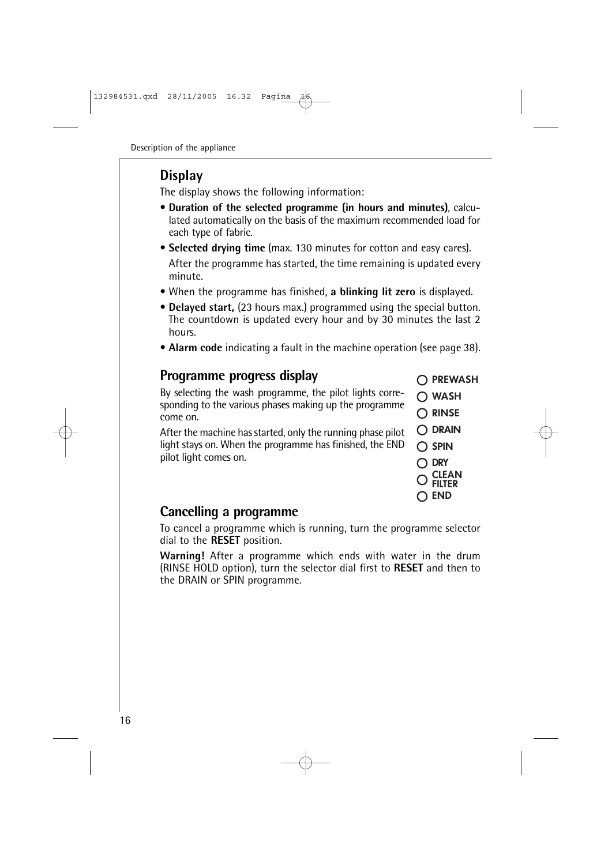# **Display**

The display shows the following information:

- **Duration of the selected programme (in hours and minutes)**, calculated automatically on the basis of the maximum recommended load for each type of fabric.
- **Selected drying time** (max. 130 minutes for cotton and easy cares). After the programme has started, the time remaining is updated every minute.
- When the programme has finished, **a blinking lit zero** is displayed.
- **Delayed start,** (23 hours max.) programmed using the special button. The countdown is updated every hour and by 30 minutes the last 2 hours.
- **Alarm code** indicating a fault in the machine operation (see page 38).

# **Programme progress display**

By selecting the wash programme, the pilot lights corresponding to the various phases making up the programme come on.

After the machine has started, only the running phase pilot light stays on. When the programme has finished, the END pilot light comes on.

| O PREWASH |
|-----------|
|           |

- $\bigcap$  WASH
- $\bigcap$  RINSE
- **DRAIN**
- $\bigcap$  SPIN
	- **DRY**
	- **CLEAN FILTER**
	- $\bigcirc$  end

# **Cancelling a programme**

To cancel a programme which is running, turn the programme selector dial to the **RESET** position.

**Warning!** After a programme which ends with water in the drum (RINSE HOLD option), turn the selector dial first to **RESET** and then to the DRAIN or SPIN programme.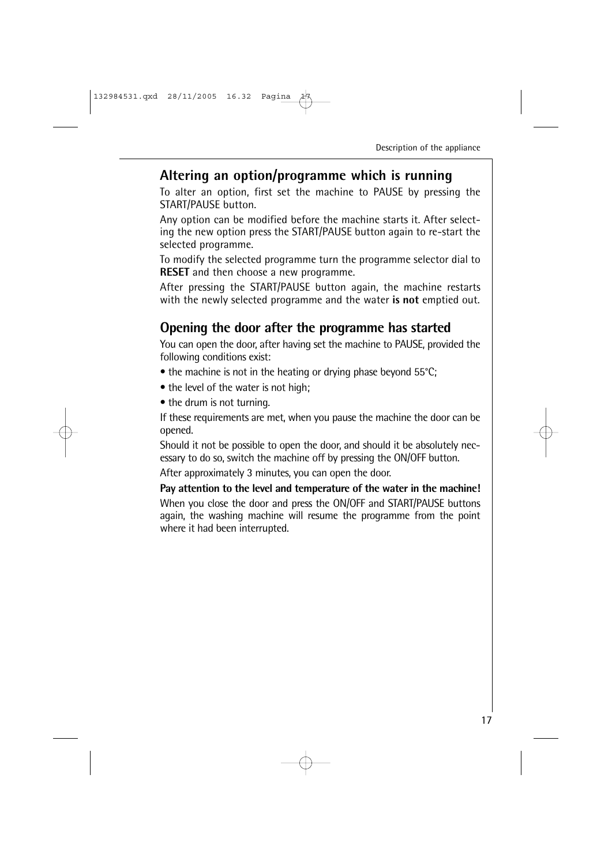### **Altering an option/programme which is running**

To alter an option, first set the machine to PAUSE by pressing the START/PAUSE button.

Any option can be modified before the machine starts it. After selecting the new option press the START/PAUSE button again to re-start the selected programme.

To modify the selected programme turn the programme selector dial to **RESET** and then choose a new programme.

After pressing the START/PAUSE button again, the machine restarts with the newly selected programme and the water **is not** emptied out.

### **Opening the door after the programme has started**

You can open the door, after having set the machine to PAUSE, provided the following conditions exist:

- the machine is not in the heating or drying phase beyond 55°C;
- the level of the water is not high;
- the drum is not turning.

If these requirements are met, when you pause the machine the door can be opened.

Should it not be possible to open the door, and should it be absolutely necessary to do so, switch the machine off by pressing the ON/OFF button.

After approximately 3 minutes, you can open the door.

**Pay attention to the level and temperature of the water in the machine!** When you close the door and press the ON/OFF and START/PAUSE buttons again, the washing machine will resume the programme from the point where it had been interrupted.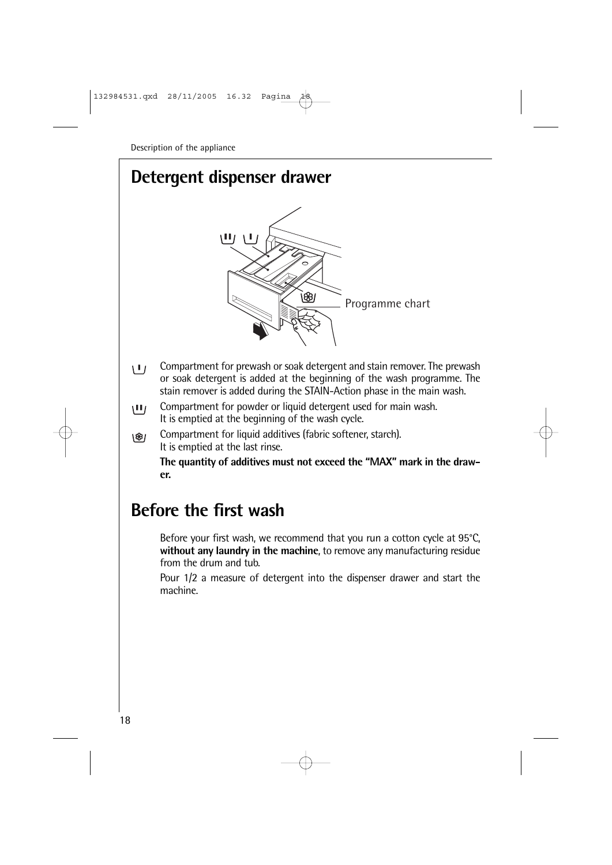# **Detergent dispenser drawer**



- Compartment for prewash or soak detergent and stain remover. The prewash  $\mathbf{1}$ or soak detergent is added at the beginning of the wash programme. The stain remover is added during the STAIN-Action phase in the main wash.
- Compartment for powder or liquid detergent used for main wash.  $\mathbf{H}$ It is emptied at the beginning of the wash cycle.
- Compartment for liquid additives (fabric softener, starch). \®າ It is emptied at the last rinse.

**The quantity of additives must not exceed the "MAX" mark in the drawer.**

# **Before the first wash**

Before your first wash, we recommend that you run a cotton cycle at 95°C, **without any laundry in the machine**, to remove any manufacturing residue from the drum and tub.

Pour 1/2 a measure of detergent into the dispenser drawer and start the machine.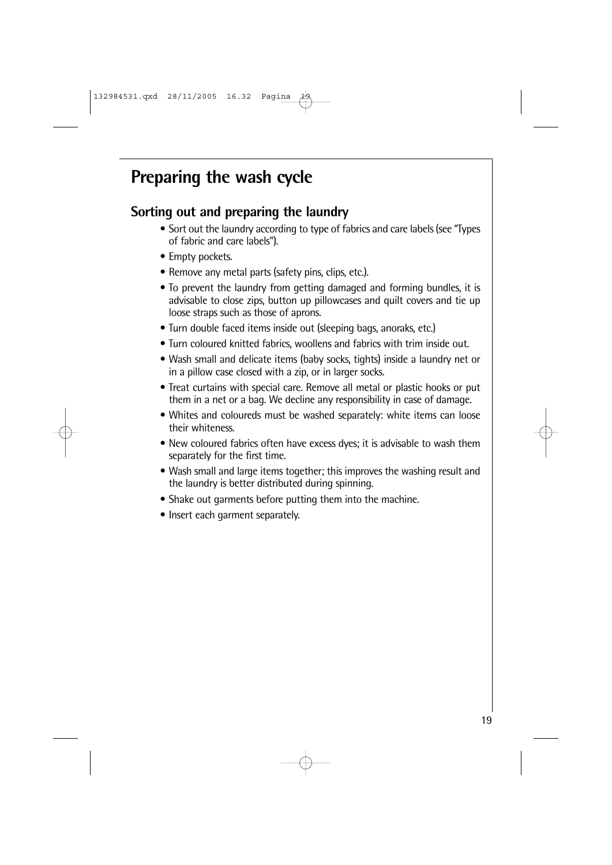# **Preparing the wash cycle**

# **Sorting out and preparing the laundry**

- Sort out the laundry according to type of fabrics and care labels (see "Types of fabric and care labels").
- Empty pockets.
- Remove any metal parts (safety pins, clips, etc.).
- To prevent the laundry from getting damaged and forming bundles, it is advisable to close zips, button up pillowcases and quilt covers and tie up loose straps such as those of aprons.
- Turn double faced items inside out (sleeping bags, anoraks, etc.)
- Turn coloured knitted fabrics, woollens and fabrics with trim inside out.
- Wash small and delicate items (baby socks, tights) inside a laundry net or in a pillow case closed with a zip, or in larger socks.
- Treat curtains with special care. Remove all metal or plastic hooks or put them in a net or a bag. We decline any responsibility in case of damage.
- Whites and coloureds must be washed separately: white items can loose their whiteness.
- New coloured fabrics often have excess dyes; it is advisable to wash them separately for the first time.
- Wash small and large items together; this improves the washing result and the laundry is better distributed during spinning.
- Shake out garments before putting them into the machine.
- Insert each garment separately.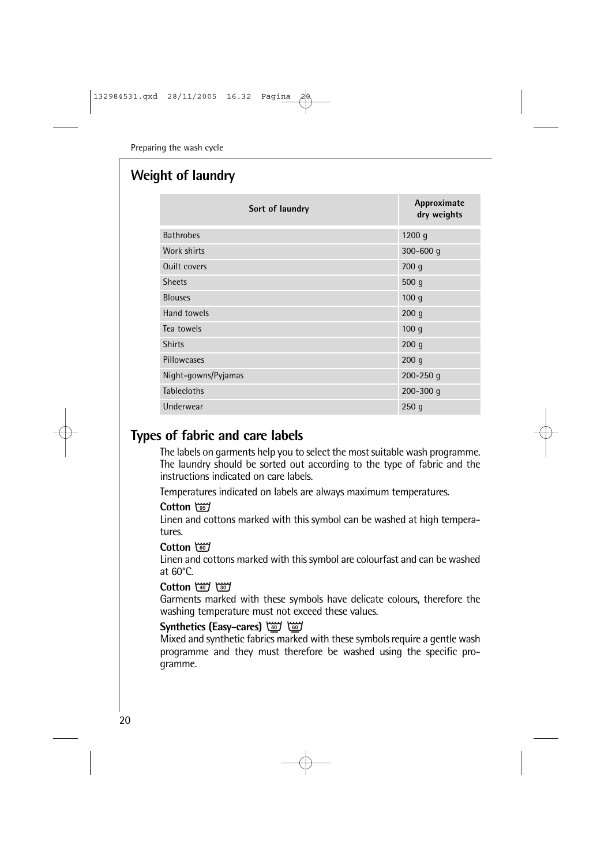### **Weight of laundry**

| Sort of laundry     | Approximate<br>dry weights |
|---------------------|----------------------------|
| <b>Bathrobes</b>    | 1200 g                     |
| Work shirts         | $300 - 600$ q              |
| Quilt covers        | 700q                       |
| <b>Sheets</b>       | 500q                       |
| <b>Blouses</b>      | 100q                       |
| Hand towels         | 200q                       |
| Tea towels          | 100q                       |
| <b>Shirts</b>       | 200q                       |
| Pillowcases         | 200q                       |
| Night-gowns/Pyjamas | 200-250 $q$                |
| <b>Tablecloths</b>  | $200 - 300$ q              |
| Underwear           | 250q                       |

## **Types of fabric and care labels**

The labels on garments help you to select the most suitable wash programme. The laundry should be sorted out according to the type of fabric and the instructions indicated on care labels.

Temperatures indicated on labels are always maximum temperatures.

#### **Cotton**

Linen and cottons marked with this symbol can be washed at high temperatures.

#### **Cotton -**

Linen and cottons marked with this symbol are colourfast and can be washed at 60°C.

#### **Cotton**

Garments marked with these symbols have delicate colours, therefore the washing temperature must not exceed these values.

#### **Synthetics (Easy-cares) -**

Mixed and synthetic fabrics marked with these symbols require a gentle wash programme and they must therefore be washed using the specific programme.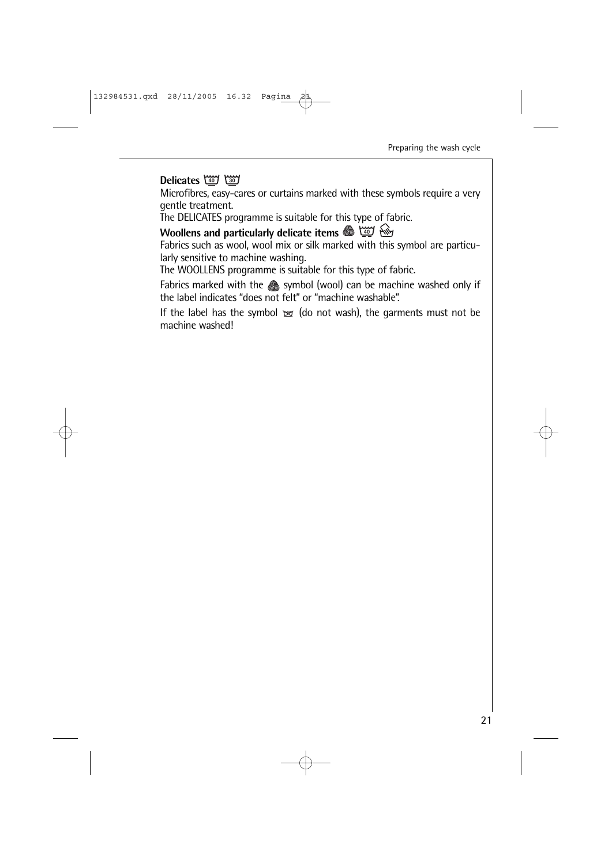#### **Delicates and by**

Microfibres, easy-cares or curtains marked with these symbols require a very gentle treatment.

The DELICATES programme is suitable for this type of fabric.

#### **Woollens and particularly delicate items**

Fabrics such as wool, wool mix or silk marked with this symbol are particularly sensitive to machine washing.

The WOOLLENS programme is suitable for this type of fabric.

Fabrics marked with the Seq symbol (wool) can be machine washed only if the label indicates "does not felt" or "machine washable".

If the label has the symbol  $\approx$  (do not wash), the garments must not be machine washed!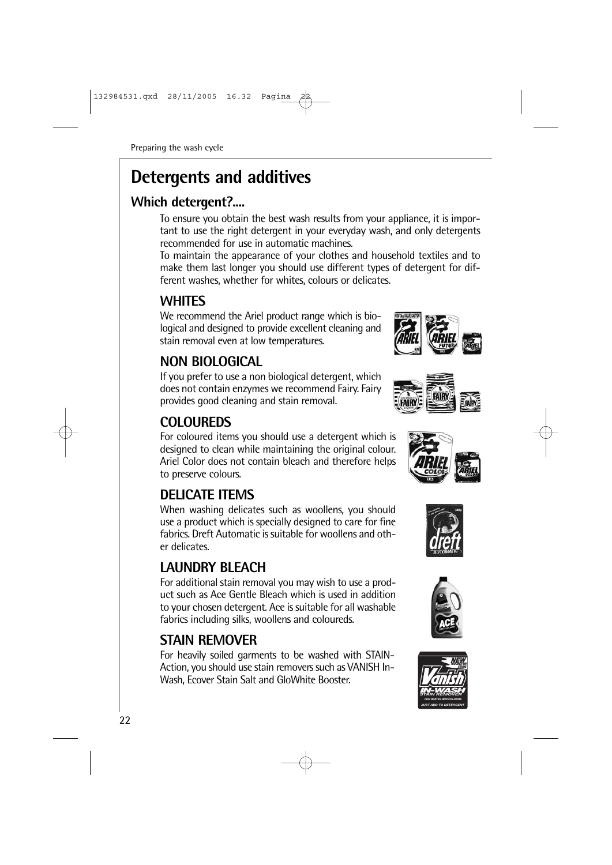# **Detergents and additives**

# **Which detergent?....**

To ensure you obtain the best wash results from your appliance, it is important to use the right detergent in your everyday wash, and only detergents recommended for use in automatic machines.

To maintain the appearance of your clothes and household textiles and to make them last longer you should use different types of detergent for different washes, whether for whites, colours or delicates.

# **WHITES**

We recommend the Ariel product range which is biological and designed to provide excellent cleaning and stain removal even at low temperatures.

# **NON BIOLOGICAL**

If you prefer to use a non biological detergent, which does not contain enzymes we recommend Fairy. Fairy provides good cleaning and stain removal.

# **COLOUREDS**

For coloured items you should use a detergent which is designed to clean while maintaining the original colour. Ariel Color does not contain bleach and therefore helps to preserve colours.

# **DELICATE ITEMS**

When washing delicates such as woollens, you should use a product which is specially designed to care for fine fabrics. Dreft Automatic is suitable for woollens and other delicates.

# **LAUNDRY BLEACH**

For additional stain removal you may wish to use a product such as Ace Gentle Bleach which is used in addition to your chosen detergent. Ace is suitable for all washable fabrics including silks, woollens and coloureds.

# **STAIN REMOVER**

For heavily soiled garments to be washed with STAIN-Action, you should use stain removers such as VANISH In-Wash, Ecover Stain Salt and GloWhite Booster.











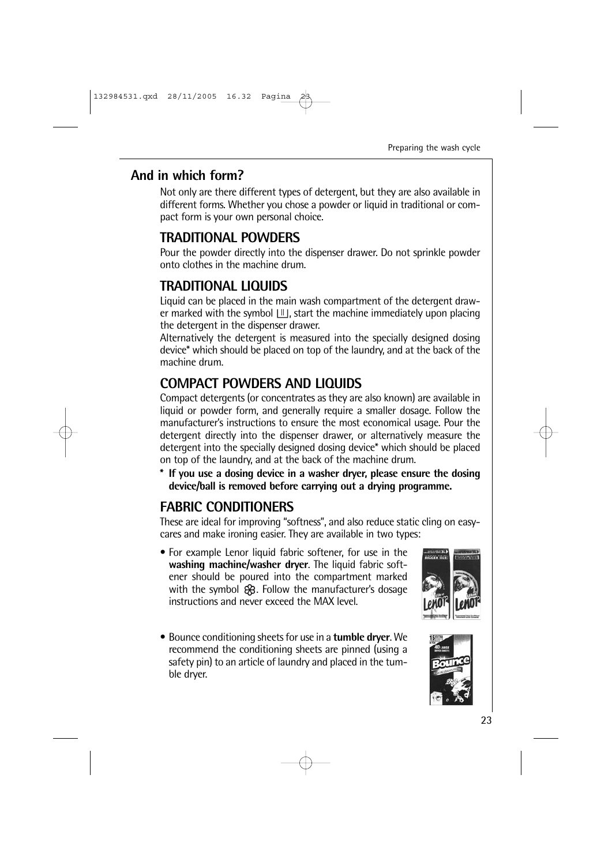### **And in which form?**

Not only are there different types of detergent, but they are also available in different forms. Whether you chose a powder or liquid in traditional or compact form is your own personal choice.

# **TRADITIONAL POWDERS**

Pour the powder directly into the dispenser drawer. Do not sprinkle powder onto clothes in the machine drum.

# **TRADITIONAL LIQUIDS**

Liquid can be placed in the main wash compartment of the detergent drawer marked with the symbol  $\lfloor \mathbb{I} \rfloor$ , start the machine immediately upon placing the detergent in the dispenser drawer.

Alternatively the detergent is measured into the specially designed dosing device\* which should be placed on top of the laundry, and at the back of the machine drum.

# **COMPACT POWDERS AND LIQUIDS**

Compact detergents (or concentrates as they are also known) are available in liquid or powder form, and generally require a smaller dosage. Follow the manufacturer's instructions to ensure the most economical usage. Pour the detergent directly into the dispenser drawer, or alternatively measure the detergent into the specially designed dosing device\* which should be placed on top of the laundry, and at the back of the machine drum.

**\* If you use a dosing device in a washer dryer, please ensure the dosing device/ball is removed before carrying out a drying programme.**

# **FABRIC CONDITIONERS**

These are ideal for improving "softness", and also reduce static cling on easycares and make ironing easier. They are available in two types:

- For example Lenor liquid fabric softener, for use in the **washing machine/washer dryer**. The liquid fabric softener should be poured into the compartment marked with the symbol  $\mathcal{R}$ . Follow the manufacturer's dosage instructions and never exceed the MAX level.
- Bounce conditioning sheets for use in a **tumble dryer**. We recommend the conditioning sheets are pinned (using a safety pin) to an article of laundry and placed in the tumble dryer.



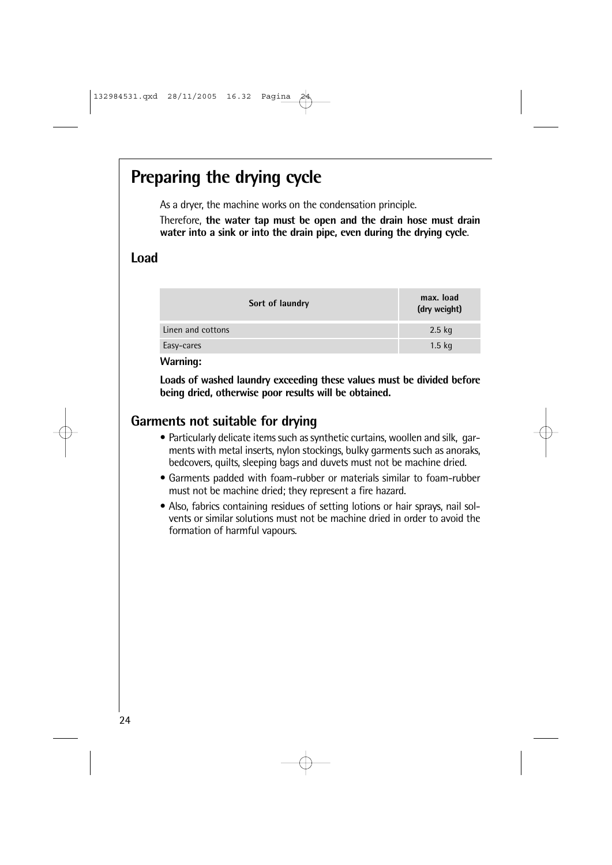# **Preparing the drying cycle**

As a dryer, the machine works on the condensation principle.

Therefore, **the water tap must be open and the drain hose must drain water into a sink or into the drain pipe, even during the drying cycle**.

### **Load**

| Sort of laundry   | max. load<br>(dry weight) |
|-------------------|---------------------------|
| Linen and cottons | $2.5$ kg                  |
| Easy-cares        | $1.5$ kg                  |

**Warning:**

**Loads of washed laundry exceeding these values must be divided before being dried, otherwise poor results will be obtained.**

# **Garments not suitable for drying**

- Particularly delicate items such as synthetic curtains, woollen and silk, garments with metal inserts, nylon stockings, bulky garments such as anoraks, bedcovers, quilts, sleeping bags and duvets must not be machine dried.
- Garments padded with foam-rubber or materials similar to foam-rubber must not be machine dried; they represent a fire hazard.
- Also, fabrics containing residues of setting lotions or hair sprays, nail solvents or similar solutions must not be machine dried in order to avoid the formation of harmful vapours.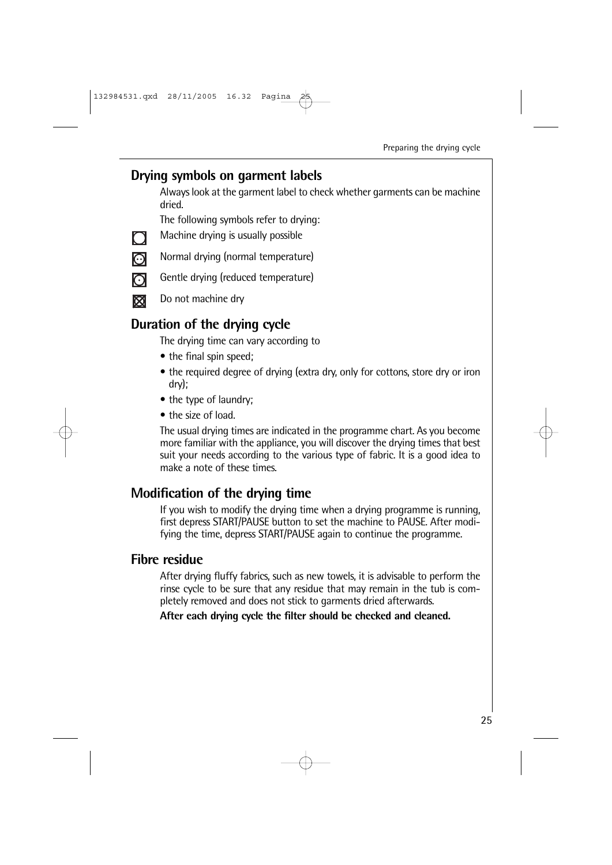### **Drying symbols on garment labels**

Always look at the garment label to check whether garments can be machine dried.

The following symbols refer to drying:

- Machine drying is usually possible
- $\Box$ ြ
- Normal drying (normal temperature)
- Gentle drying (reduced temperature)
- $\Omega$ ⊠
- Do not machine dry

# **Duration of the drying cycle**

The drying time can vary according to

- the final spin speed:
- the required degree of drying (extra dry, only for cottons, store dry or iron dry);
- the type of laundry:
- the size of load.

The usual drying times are indicated in the programme chart. As you become more familiar with the appliance, you will discover the drying times that best suit your needs according to the various type of fabric. It is a good idea to make a note of these times.

# **Modification of the drying time**

If you wish to modify the drying time when a drying programme is running, first depress START/PAUSE button to set the machine to PAUSE. After modifying the time, depress START/PAUSE again to continue the programme.

### **Fibre residue**

After drying fluffy fabrics, such as new towels, it is advisable to perform the rinse cycle to be sure that any residue that may remain in the tub is completely removed and does not stick to garments dried afterwards.

**After each drying cycle the filter should be checked and cleaned.**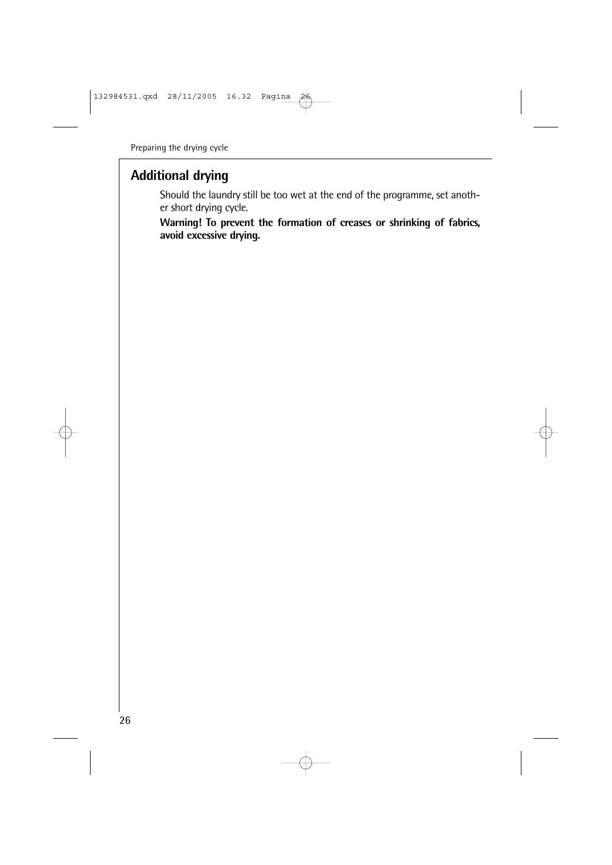# **Additional drying**

Should the laundry still be too wet at the end of the programme, set another short drying cycle.

**Warning! To prevent the formation of creases or shrinking of fabrics, avoid excessive drying.**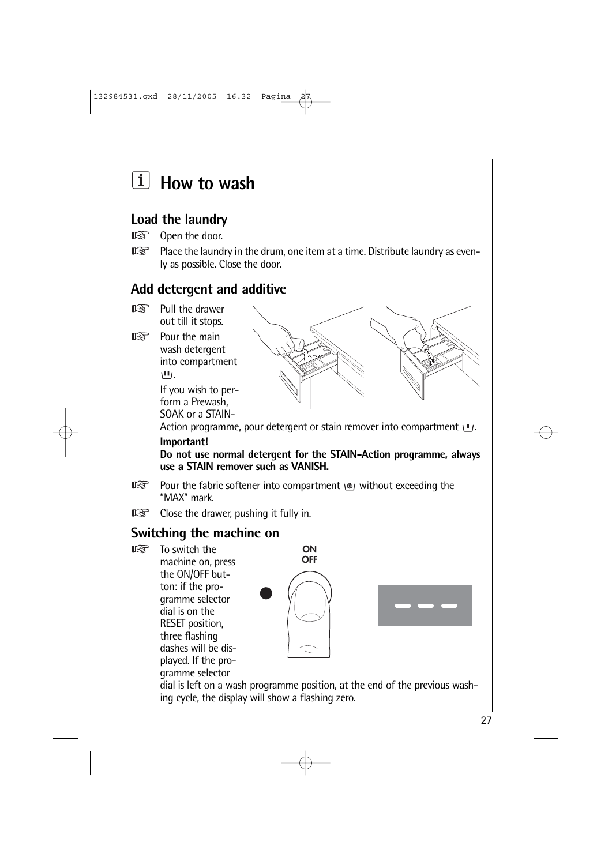# **How to wash**

# **Load the laundry**

- Open the door.  $\mathbb{R}$
- $\mathbb{R}$ Place the laundry in the drum, one item at a time. Distribute laundry as evenly as possible. Close the door.

# **Add detergent and additive**

- $\mathbb{R}$ Pull the drawer out till it stops.
- $\mathbb{R}$ Pour the main wash detergent into compartment  $\Pi$ .

If you wish to perform a Prewash, SOAK or a STAIN-



Action programme, pour detergent or stain remover into compartment  $U$ .

#### **Important!**

**Do not use normal detergent for the STAIN-Action programme, always use a STAIN remover such as VANISH.**

- $\mathbb{R}$ Pour the fabric softener into compartment  $\mathcal{B}_1$  without exceeding the "MAX" mark.
- $\mathbb{R}$ Close the drawer, pushing it fully in.

# **Switching the machine on**

 $\mathbb{R}$  To switch the machine on, press the ON/OFF button: if the programme selector dial is on the RESET position, three flashing dashes will be displayed. If the programme selector



dial is left on a wash programme position, at the end of the previous washing cycle, the display will show a flashing zero.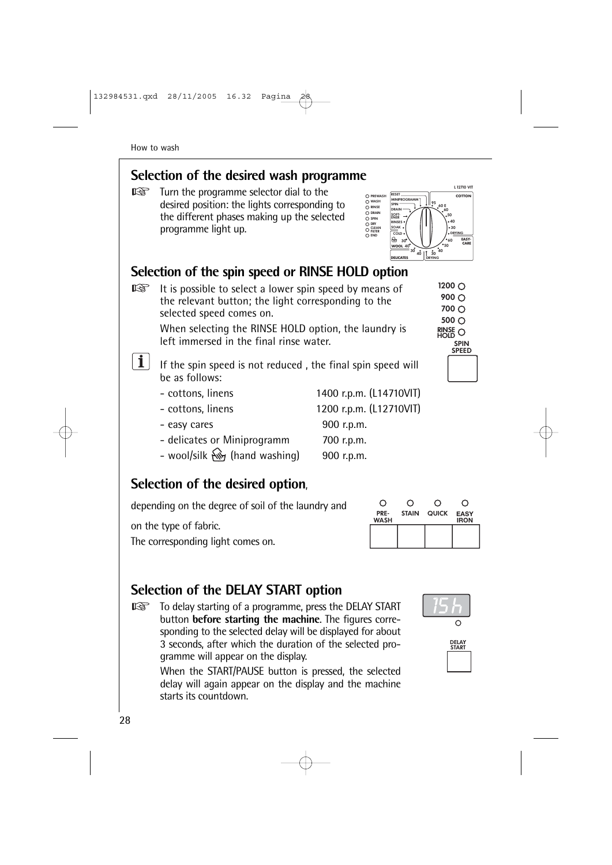# **Selection of the desired wash programme**

Turn the programme selector dial to the rð. desired position: the lights corresponding to the different phases making up the selected programme light up.



**RINSE**<br>HOLD

**SPIN SPFFD** 

1200 ∩  $900$   $\bigcirc$  $700 \cap$  $500$   $\bigcirc$ 

# **Selection of the spin speed or RINSE HOLD option**

隐 It is possible to select a lower spin speed by means of the relevant button; the light corresponding to the selected speed comes on.

> When selecting the RINSE HOLD option, the laundry is left immersed in the final rinse water.

 $\mathbf{i}$ 

If the spin speed is not reduced , the final spin speed will be as follows:

- cottons, linens 1400 r.p.m. (L14710VIT) - cottons, linens 1200 r.p.m. (L12710VIT) - easy cares 900 r.p.m.
- delicates or Miniprogramm 700 r.p.m.
- wool/silk  $\mathbb{N}$  (hand washing) 900 r.p.m.

# **Selection of the desired option**,

depending on the degree of soil of the laundry and

on the type of fabric.

The corresponding light comes on.



# **Selection of the DELAY START option**

 $\mathbb{R}$ To delay starting of a programme, press the DELAY START button **before starting the machine**. The figures corresponding to the selected delay will be displayed for about 3 seconds, after which the duration of the selected programme will appear on the display.

> When the START/PAUSE button is pressed, the selected delay will again appear on the display and the machine starts its countdown.



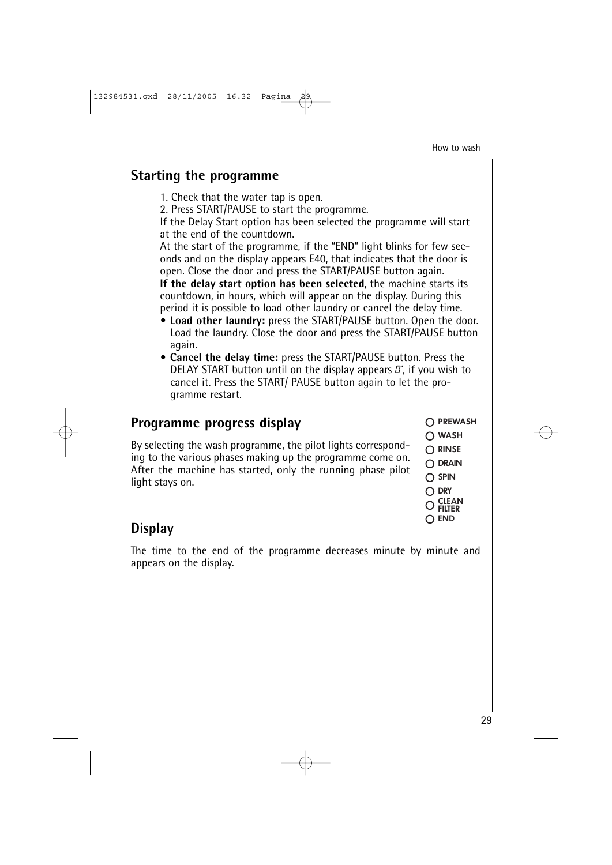### **Starting the programme**

1. Check that the water tap is open.

2. Press START/PAUSE to start the programme.

If the Delay Start option has been selected the programme will start at the end of the countdown.

At the start of the programme, if the "END" light blinks for few seconds and on the display appears E40, that indicates that the door is open. Close the door and press the START/PAUSE button again.

**If the delay start option has been selected**, the machine starts its countdown, in hours, which will appear on the display. During this period it is possible to load other laundry or cancel the delay time.

- **Load other laundry:** press the START/PAUSE button. Open the door. Load the laundry. Close the door and press the START/PAUSE button again.
- **Cancel the delay time:** press the START/PAUSE button. Press the DELAY START button until on the display appears  $\mathcal{D}'$ , if you wish to cancel it. Press the START/ PAUSE button again to let the programme restart.

# **Programme progress display**

By selecting the wash programme, the pilot lights corresponding to the various phases making up the programme come on. After the machine has started, only the running phase pilot light stays on.

- O PREWASH
- $\bigcap$  WASH
- $\bigcap$  RINSE
- **DRAIN**
- $\bigcap$  SPIN
- **DRY**
- $CL$ EAN **FILTER**
- $\cap$  end

# **Display**

The time to the end of the programme decreases minute by minute and appears on the display.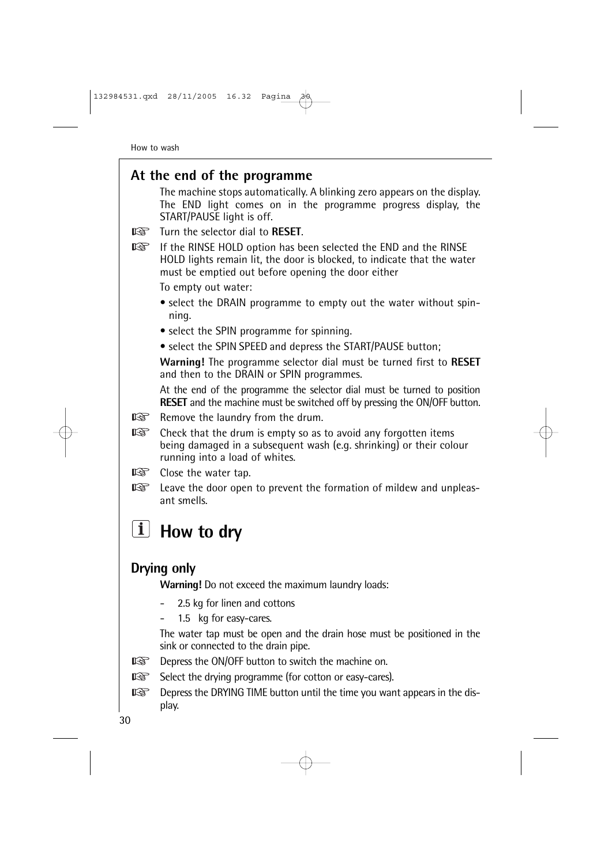### **At the end of the programme**

The machine stops automatically. A blinking zero appears on the display. The END light comes on in the programme progress display, the START/PAUSE light is off.

- **THE TURN THAT SERVE TO RESET.**
- $\mathbb{R}$ If the RINSE HOLD option has been selected the END and the RINSE HOLD lights remain lit, the door is blocked, to indicate that the water must be emptied out before opening the door either

To empty out water:

- select the DRAIN programme to empty out the water without spinning.
- select the SPIN programme for spinning.
- select the SPIN SPEED and depress the START/PAUSE button;

**Warning!** The programme selector dial must be turned first to **RESET** and then to the DRAIN or SPIN programmes.

At the end of the programme the selector dial must be turned to position **RESET** and the machine must be switched off by pressing the ON/OFF button.

- $\mathbb{R}$ Remove the laundry from the drum.
- $\mathbb{R}$ Check that the drum is empty so as to avoid any forgotten items being damaged in a subsequent wash (e.g. shrinking) or their colour running into a load of whites.
- rð. Close the water tap.
- $\mathbb{R}$ Leave the door open to prevent the formation of mildew and unpleasant smells.

# **How to dry**

# **Drying only**

**Warning!** Do not exceed the maximum laundry loads:

- 2.5 kg for linen and cottons
- 1.5 kg for easy-cares.

The water tap must be open and the drain hose must be positioned in the sink or connected to the drain pipe.

- 咚 Depress the ON/OFF button to switch the machine on.
- $\mathbb{R}$ Select the drying programme (for cotton or easy-cares).
- 隐 Depress the DRYING TIME button until the time you want appears in the display.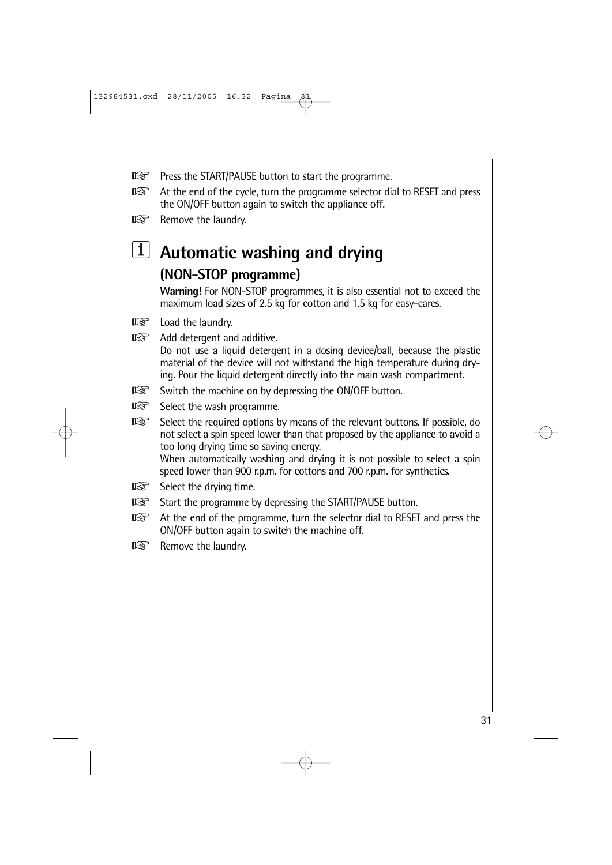- $\mathbb{R}$ Press the START/PAUSE button to start the programme.
- $\mathbb{R}$ At the end of the cycle, turn the programme selector dial to RESET and press the ON/OFF button again to switch the appliance off.
- $\mathbb{R}$ Remove the laundry.

# **Automatic washing and drying (NON-STOP programme)**

**Warning!** For NON-STOP programmes, it is also essential not to exceed the maximum load sizes of 2.5 kg for cotton and 1.5 kg for easy-cares.

- $\mathbb{R}$ Load the laundry.
- $\mathbb{R}$ Add detergent and additive. Do not use a liquid detergent in a dosing device/ball, because the plastic material of the device will not withstand the high temperature during drying. Pour the liquid detergent directly into the main wash compartment.
- $\mathbb{R}$ Switch the machine on by depressing the ON/OFF button.
- $\mathbb{R}$ Select the wash programme.

 $\mathbb{R}$ Select the required options by means of the relevant buttons. If possible, do not select a spin speed lower than that proposed by the appliance to avoid a too long drying time so saving energy. When automatically washing and drying it is not possible to select a spin speed lower than 900 r.p.m. for cottons and 700 r.p.m. for synthetics.

- Select the drying time.  $\mathbb{R}$
- $\mathbb{R}$ Start the programme by depressing the START/PAUSE button.
- At the end of the programme, turn the selector dial to RESET and press the KQ. ON/OFF button again to switch the machine off.
- r& Remove the laundry.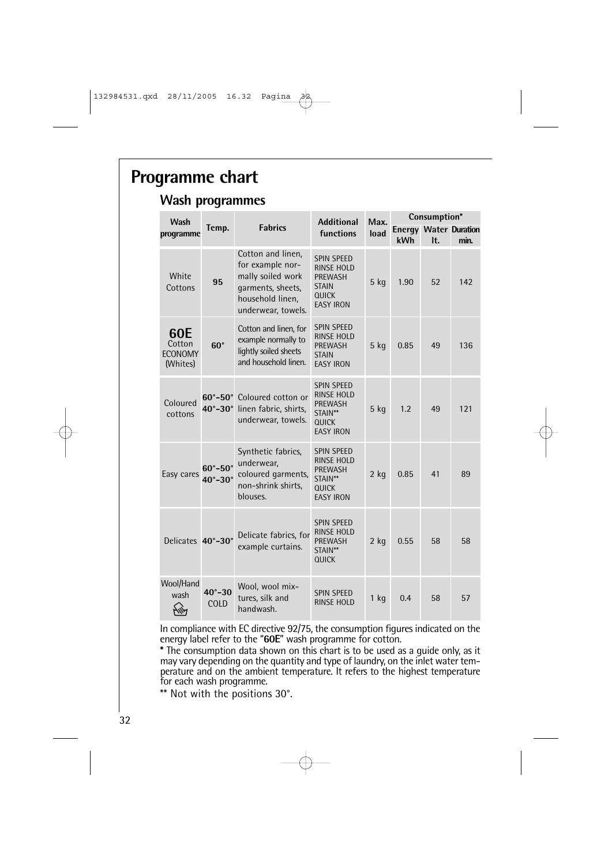# **Programme chart**

#### **Wash programmes**

| Wash                                        |                                                |                                                                                                                           | <b>Additional</b>                                                                                            | Max.   | Consumption* |     |                                      |
|---------------------------------------------|------------------------------------------------|---------------------------------------------------------------------------------------------------------------------------|--------------------------------------------------------------------------------------------------------------|--------|--------------|-----|--------------------------------------|
| programme                                   | Temp.                                          | <b>Fabrics</b>                                                                                                            | functions                                                                                                    | load   | kWh          | It. | <b>Energy Water Duration</b><br>min. |
| White<br>Cottons                            | 95                                             | Cotton and linen,<br>for example nor-<br>mally soiled work<br>garments, sheets,<br>household linen,<br>underwear, towels. | <b>SPIN SPEED</b><br><b>RINSE HOLD</b><br><b>PREWASH</b><br><b>STAIN</b><br><b>QUICK</b><br><b>EASY IRON</b> | 5 kg   | 1.90         | 52  | 142                                  |
| 60E<br>Cotton<br><b>ECONOMY</b><br>(Whites) | $60^\circ$                                     | Cotton and linen, for<br>example normally to<br>lightly soiled sheets<br>and household linen.                             | SPIN SPEED<br>RINSE HOLD<br><b>PREWASH</b><br><b>STAIN</b><br><b>EASY IRON</b>                               | 5 kg   | 0.85         | 49  | 136                                  |
| Coloured<br>cottons                         | $60^\circ - 50^\circ$<br>$40^\circ - 30^\circ$ | Coloured cotton or<br>linen fabric, shirts,<br>underwear, towels.                                                         | <b>SPIN SPEED</b><br>RINSE HOLD<br>PREWASH<br>STAIN**<br>QUICK<br><b>EASY IRON</b>                           | 5 kg   | 1.2          | 49  | 121                                  |
| Easy cares                                  | $60^\circ - 50^\circ$<br>$40^\circ - 30^\circ$ | Synthetic fabrics,<br>underwear,<br>coloured garments,<br>non-shrink shirts,<br>blouses.                                  | <b>SPIN SPEED</b><br>RINSE HOLD<br>PREWASH<br>STAIN**<br>QUICK<br><b>EASY IRON</b>                           | $2$ kg | 0.85         | 41  | 89                                   |
| Delicates 40°-30°                           |                                                | Delicate fabrics, for<br>example curtains.                                                                                | <b>SPIN SPEED</b><br><b>RINSE HOLD</b><br><b>PREWASH</b><br>STAIN**<br>QUICK                                 | $2$ kg | 0.55         | 58  | 58                                   |
| Wool/Hand<br>wash<br>wÄ                     | $40^{\circ} - 30$<br>COLD                      | Wool, wool mix-<br>tures, silk and<br>handwash.                                                                           | <b>SPIN SPEED</b><br><b>RINSE HOLD</b>                                                                       | $1$ kg | 0.4          | 58  | 57                                   |

In compliance with EC directive 92/75, the consumption figures indicated on the energy label refer to the "**60E**" wash programme for cotton.

**\*** The consumption data shown on this chart is to be used as a guide only, as it may vary depending on the quantity and type of laundry, on the inlet water temperature and on the ambient temperature. It refers to the highest temperature for each wash programme.

\*\* Not with the positions 30°.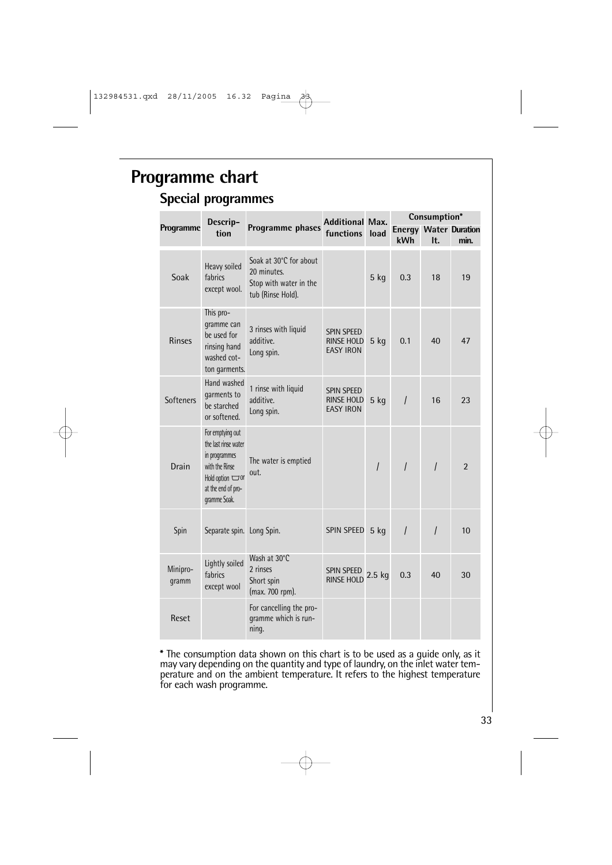# **Programme chart**

### **Special programmes**

|                   | <b>Additional Max.</b><br>Descrip-<br>Programme phases<br>functions<br>tion                                                                |                                                                                      |                                                     | Consumption*   |                |                                      |                |
|-------------------|--------------------------------------------------------------------------------------------------------------------------------------------|--------------------------------------------------------------------------------------|-----------------------------------------------------|----------------|----------------|--------------------------------------|----------------|
| Programme         |                                                                                                                                            |                                                                                      | load                                                | kWh            | It.            | <b>Energy Water Duration</b><br>min. |                |
| Soak              | Heavy soiled<br>fabrics<br>except wool.                                                                                                    | Soak at 30°C for about<br>20 minutes.<br>Stop with water in the<br>tub (Rinse Hold). |                                                     | $5$ kg         | 0.3            | 18                                   | 19             |
| <b>Rinses</b>     | This pro-<br>gramme can<br>be used for<br>rinsing hand<br>washed cot-<br>ton garments.                                                     | 3 rinses with liquid<br>additive.<br>Long spin.                                      | <b>SPIN SPEED</b><br>RINSE HOLD<br><b>EASY IRON</b> | $5$ kg         | 0.1            | 40                                   | 47             |
| <b>Softeners</b>  | Hand washed<br>garments to<br>be starched<br>or softened.                                                                                  | 1 rinse with liquid<br>additive.<br>Long spin.                                       | SPIN SPEED<br>RINSE HOLD<br><b>EASY IRON</b>        | $5$ kg         | $\prime$       | 16                                   | 23             |
| Drain             | For emptying out<br>the last rinse water<br>in programmes<br>with the Rinse<br>Hold option $\Box$ or<br>at the end of pro-<br>gramme Soak. | The water is emptied<br>out.                                                         |                                                     | $\overline{I}$ | $\overline{I}$ | $\overline{I}$                       | $\overline{2}$ |
| Spin              | Separate spin. Long Spin.                                                                                                                  |                                                                                      | <b>SPIN SPEED</b>                                   | $5$ kg         | $\overline{I}$ | $\prime$                             | 10             |
| Minipro-<br>qramm | Lightly soiled<br>fabrics<br>except wool                                                                                                   | Wash at 30°C<br>2 rinses<br>Short spin<br>(max. 700 rpm).                            | SPIN SPEED<br><b>RINSE HOLD</b>                     | $2.5$ kg       | 0.3            | 40                                   | 30             |
| Reset             |                                                                                                                                            | For cancelling the pro-<br>gramme which is run-<br>ning.                             |                                                     |                |                |                                      |                |

**\*** The consumption data shown on this chart is to be used as a guide only, as it may vary depending on the quantity and type of laundry, on the inlet water temperature and on the ambient temperature. It refers to the highest temperature for each wash programme.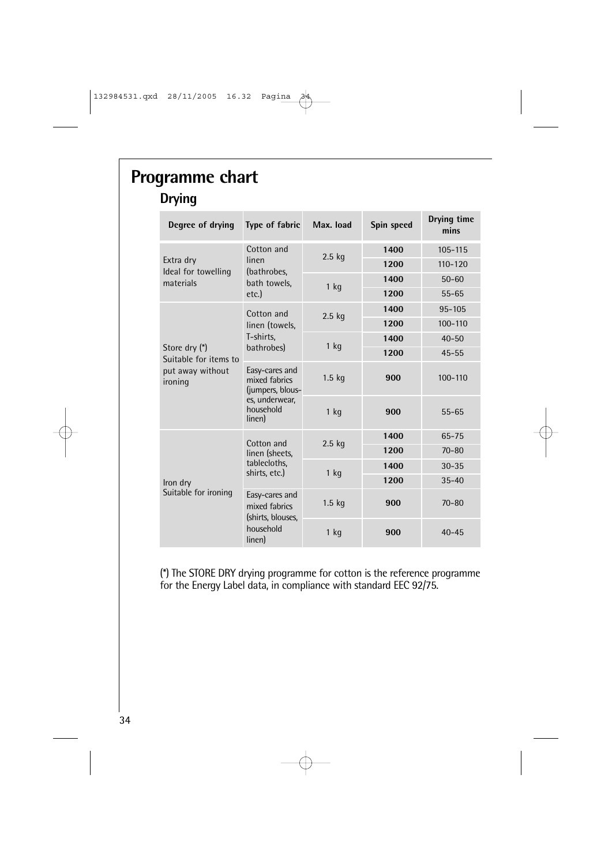# **Programme chart Drying**

| Degree of drying                                                      | Type of fabric                                                                               | Max. load | Spin speed | Drying time<br>mins |
|-----------------------------------------------------------------------|----------------------------------------------------------------------------------------------|-----------|------------|---------------------|
|                                                                       | Cotton and                                                                                   |           | 1400       | $105 - 115$         |
| Extra dry<br>Ideal for towelling                                      | linen<br>(bathrobes,                                                                         | 2.5 kg    | 1200       | $110 - 120$         |
| materials                                                             | bath towels,                                                                                 | $1$ kg    | 1400       | $50 - 60$           |
|                                                                       | etc.)                                                                                        |           | 1200       | $55 - 65$           |
|                                                                       | Cotton and                                                                                   | $2.5$ kg  | 1400       | $95 - 105$          |
|                                                                       | linen (towels,                                                                               |           | 1200       | 100-110             |
|                                                                       | T-shirts,                                                                                    | $1$ kg    | 1400       | $40 - 50$           |
| Store dry (*)<br>Suitable for items to<br>put away without<br>ironing | bathrobes)                                                                                   |           | 1200       | $45 - 55$           |
|                                                                       | Easy-cares and<br>mixed fabrics<br>(jumpers, blous-<br>es, underwear,<br>household<br>linen) | $1.5$ kg  | 900        | $100 - 110$         |
|                                                                       |                                                                                              | $1$ kg    | 900        | $55 - 65$           |
|                                                                       | Cotton and                                                                                   | $2.5$ kg  | 1400       | 65-75               |
|                                                                       | linen (sheets,<br>tablecloths,<br>shirts, etc.)                                              |           | 1200       | $70 - 80$           |
|                                                                       |                                                                                              | $1$ kg    | 1400       | $30 - 35$           |
| Iron dry                                                              |                                                                                              |           | 1200       | $35 - 40$           |
| Suitable for ironing                                                  | Easy-cares and<br>mixed fabrics                                                              | $1.5$ kg  | 900        | $70 - 80$           |
|                                                                       | (shirts, blouses,<br>household<br>linen)                                                     | 1 kg      | 900        | $40 - 45$           |

(\*) The STORE DRY drying programme for cotton is the reference programme for the Energy Label data, in compliance with standard EEC 92/75.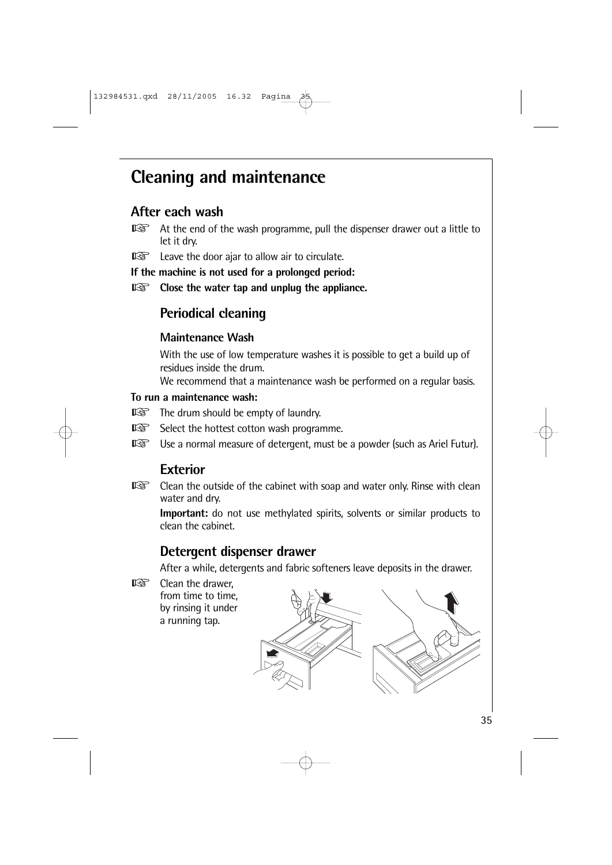# **Cleaning and maintenance**

# **After each wash**

- $\mathbb{R}$ At the end of the wash programme, pull the dispenser drawer out a little to let it dry.
- Leave the door ajar to allow air to circulate.  $\mathbb{R}$

**If the machine is not used for a prolonged period:**

 $\mathbb{R}$ **Close the water tap and unplug the appliance.**

# **Periodical cleaning**

#### **Maintenance Wash**

With the use of low temperature washes it is possible to get a build up of residues inside the drum.

We recommend that a maintenance wash be performed on a regular basis.

#### **To run a maintenance wash:**

- **THE drum should be empty of laundry.**
- 隐 Select the hottest cotton wash programme.
- $\mathbb{R}$ Use a normal measure of detergent, must be a powder (such as Ariel Futur).

# **Exterior**

 $\mathbb{R}$ Clean the outside of the cabinet with soap and water only. Rinse with clean water and dry.

**Important:** do not use methylated spirits, solvents or similar products to clean the cabinet.

# **Detergent dispenser drawer**

After a while, detergents and fabric softeners leave deposits in the drawer.

rs. Clean the drawer, from time to time, by rinsing it under a running tap.

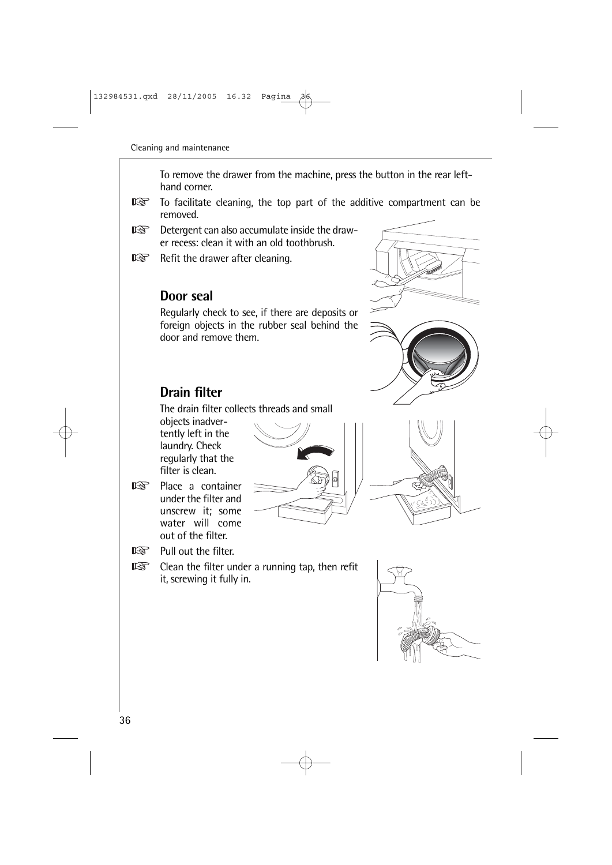To remove the drawer from the machine, press the button in the rear lefthand corner.

- rð. To facilitate cleaning, the top part of the additive compartment can be removed.
- $\mathbb{R}$ Detergent can also accumulate inside the drawer recess: clean it with an old toothbrush.
- Refit the drawer after cleaning.  $\mathbb{R}$

### **Door seal**

Regularly check to see, if there are deposits or foreign objects in the rubber seal behind the door and remove them.

# **Drain filter**

The drain filter collects threads and small

objects inadvertently left in the laundry. Check regularly that the filter is clean.

 $\mathbb{R}$ Place a container under the filter and unscrew it; some water will come out of the filter.





 $\mathbb{R}$ Clean the filter under a running tap, then refit it, screwing it fully in.





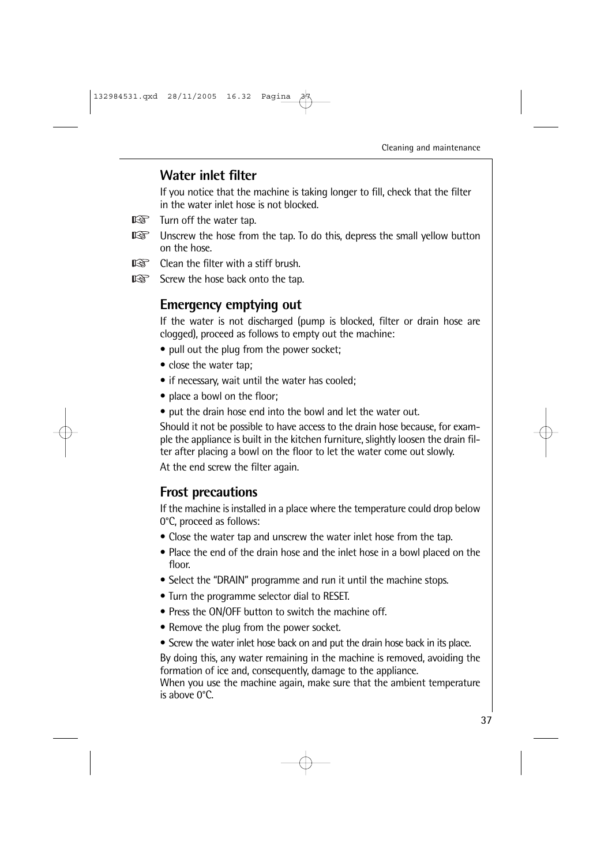### **Water inlet filter**

If you notice that the machine is taking longer to fill, check that the filter in the water inlet hose is not blocked.

- 咚 Turn off the water tap.
- $\mathbb{R}$ Unscrew the hose from the tap. To do this, depress the small yellow button on the hose.
- $\mathbb{R}$ Clean the filter with a stiff brush.
- $\mathbb{R}$ Screw the hose back onto the tap.

### **Emergency emptying out**

If the water is not discharged (pump is blocked, filter or drain hose are clogged), proceed as follows to empty out the machine:

- pull out the plug from the power socket;
- close the water tap;
- if necessary, wait until the water has cooled;
- place a bowl on the floor;
- put the drain hose end into the bowl and let the water out.

Should it not be possible to have access to the drain hose because, for example the appliance is built in the kitchen furniture, slightly loosen the drain filter after placing a bowl on the floor to let the water come out slowly. At the end screw the filter again.

# **Frost precautions**

If the machine is installed in a place where the temperature could drop below 0°C, proceed as follows:

- Close the water tap and unscrew the water inlet hose from the tap.
- Place the end of the drain hose and the inlet hose in a bowl placed on the floor.
- Select the "DRAIN" programme and run it until the machine stops.
- Turn the programme selector dial to RESET.
- Press the ON/OFF button to switch the machine off.
- Remove the plug from the power socket.
- Screw the water inlet hose back on and put the drain hose back in its place.

By doing this, any water remaining in the machine is removed, avoiding the formation of ice and, consequently, damage to the appliance.

When you use the machine again, make sure that the ambient temperature is above 0°C.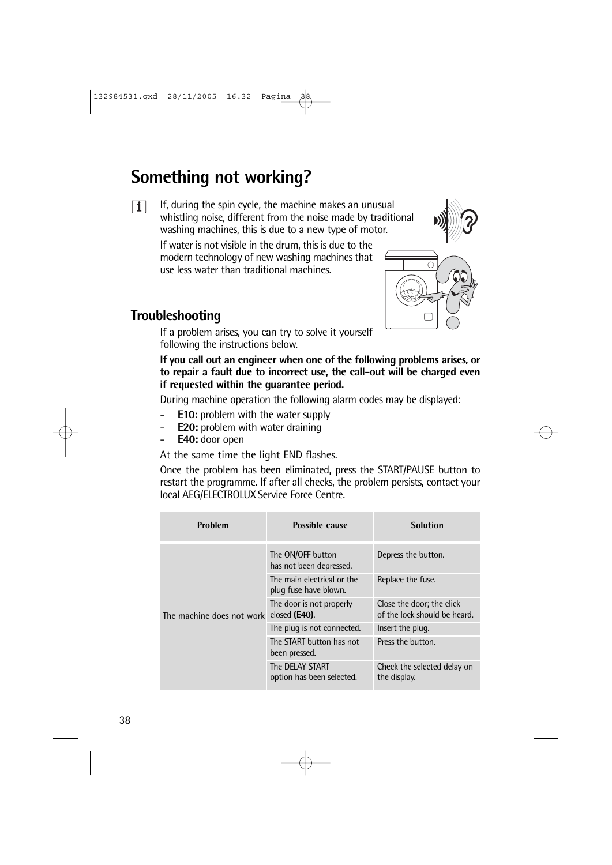# **Something not working?**



If, during the spin cycle, the machine makes an unusual whistling noise, different from the noise made by traditional washing machines, this is due to a new type of motor.



If water is not visible in the drum, this is due to the modern technology of new washing machines that use less water than traditional machines.



# **Troubleshooting**

If a problem arises, you can try to solve it yourself following the instructions below.

**If you call out an engineer when one of the following problems arises, or to repair a fault due to incorrect use, the call-out will be charged even if requested within the guarantee period.**

During machine operation the following alarm codes may be displayed:

- **E10:** problem with the water supply
- **E20:** problem with water draining
- **E40:** door open

At the same time the light END flashes.

Once the problem has been eliminated, press the START/PAUSE button to restart the programme. If after all checks, the problem persists, contact your local AEG/ELECTROLUX Service Force Centre.

| Problem                   | Possible cause                                      | <b>Solution</b>                                           |
|---------------------------|-----------------------------------------------------|-----------------------------------------------------------|
| The machine does not work | The ON/OFF button<br>has not been depressed.        | Depress the button.                                       |
|                           | The main electrical or the<br>plug fuse have blown. | Replace the fuse.                                         |
|                           | The door is not properly<br>closed $(E40)$ .        | Close the door; the click<br>of the lock should be heard. |
|                           | The plug is not connected.                          | Insert the plug.                                          |
|                           | The START button has not<br>been pressed.           | Press the button.                                         |
|                           | The DELAY START<br>option has been selected.        | Check the selected delay on<br>the display.               |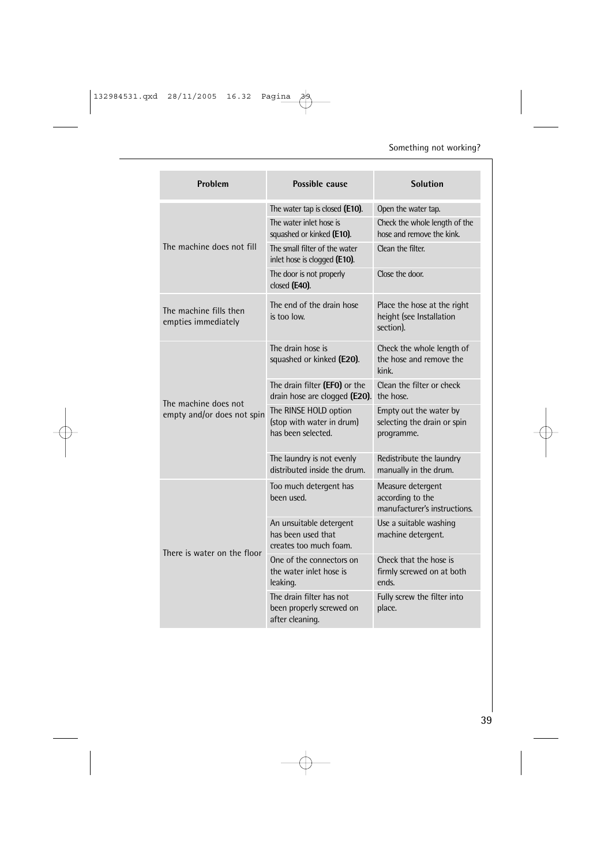| Problem                                       | Possible cause                                                           | <b>Solution</b>                                                       |
|-----------------------------------------------|--------------------------------------------------------------------------|-----------------------------------------------------------------------|
|                                               | The water tap is closed (E10).                                           | Open the water tap.                                                   |
|                                               | The water inlet hose is<br>squashed or kinked (E10).                     | Check the whole length of the<br>hose and remove the kink.            |
| The machine does not fill                     | The small filter of the water<br>inlet hose is clogged (E10).            | Clean the filter.                                                     |
|                                               | The door is not properly<br>closed (E40).                                | Close the door.                                                       |
| The machine fills then<br>empties immediately | The end of the drain hose<br>is too low.                                 | Place the hose at the right<br>height (see Installation<br>section).  |
|                                               | The drain hose is<br>squashed or kinked (E20).                           | Check the whole length of<br>the hose and remove the<br>kink.         |
| The machine does not                          | The drain filter (EFO) or the<br>drain hose are clogged (E20).           | Clean the filter or check<br>the hose.                                |
| empty and/or does not spin                    | The RINSE HOLD option<br>(stop with water in drum)<br>has been selected. | Empty out the water by<br>selecting the drain or spin<br>programme.   |
|                                               | The laundry is not evenly<br>distributed inside the drum.                | Redistribute the laundry<br>manually in the drum.                     |
|                                               | Too much detergent has<br>been used.                                     | Measure detergent<br>according to the<br>manufacturer's instructions. |
| There is water on the floor                   | An unsuitable detergent<br>has been used that<br>creates too much foam.  | Use a suitable washing<br>machine detergent.                          |
|                                               | One of the connectors on<br>the water inlet hose is<br>leaking.          | Check that the hose is<br>firmly screwed on at both<br>ends.          |
|                                               | The drain filter has not<br>been properly screwed on<br>after cleaning.  | Fully screw the filter into<br>place.                                 |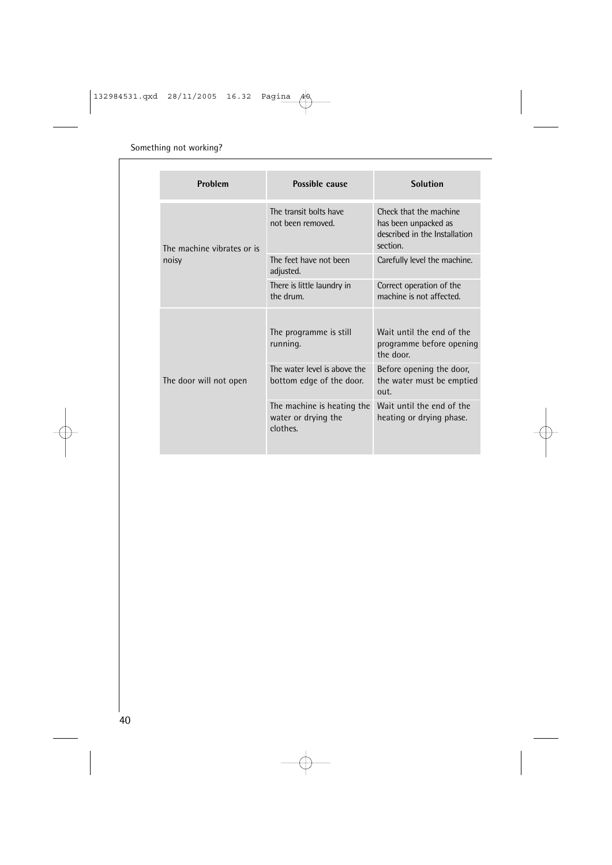| Problem                    | Possible cause                                                | <b>Solution</b>                                                                             |
|----------------------------|---------------------------------------------------------------|---------------------------------------------------------------------------------------------|
| The machine vibrates or is | The transit bolts have<br>not been removed.                   | Check that the machine<br>has been unpacked as<br>described in the Installation<br>section. |
| noisy                      | The feet have not been<br>adjusted.                           | Carefully level the machine.                                                                |
|                            | There is little laundry in<br>the drum.                       | Correct operation of the<br>machine is not affected.                                        |
|                            | The programme is still<br>running.                            | Wait until the end of the<br>programme before opening<br>the door.                          |
| The door will not open     | The water level is above the<br>bottom edge of the door.      | Before opening the door,<br>the water must be emptied<br>out.                               |
|                            | The machine is heating the<br>water or drying the<br>clothes. | Wait until the end of the<br>heating or drying phase.                                       |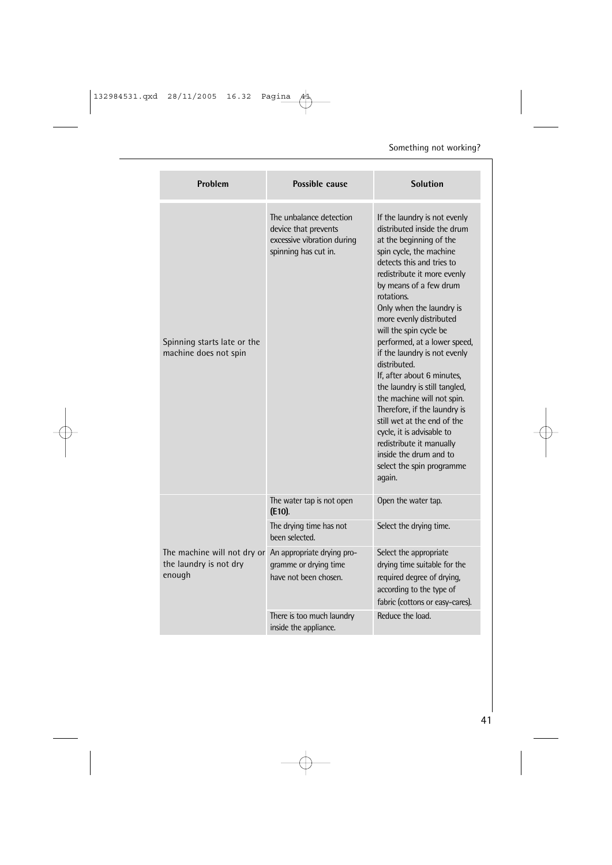| Problem                                                         | Possible cause                                                                                        | <b>Solution</b>                                                                                                                                                                                                                                                                                                                                                                                                                                                                                                                                                                                                                                                              |
|-----------------------------------------------------------------|-------------------------------------------------------------------------------------------------------|------------------------------------------------------------------------------------------------------------------------------------------------------------------------------------------------------------------------------------------------------------------------------------------------------------------------------------------------------------------------------------------------------------------------------------------------------------------------------------------------------------------------------------------------------------------------------------------------------------------------------------------------------------------------------|
| Spinning starts late or the<br>machine does not spin            | The unbalance detection<br>device that prevents<br>excessive vibration during<br>spinning has cut in. | If the laundry is not evenly<br>distributed inside the drum<br>at the beginning of the<br>spin cycle, the machine<br>detects this and tries to<br>redistribute it more evenly<br>by means of a few drum<br>rotations.<br>Only when the laundry is<br>more evenly distributed<br>will the spin cycle be<br>performed, at a lower speed,<br>if the laundry is not evenly<br>distributed.<br>If, after about 6 minutes,<br>the laundry is still tangled,<br>the machine will not spin.<br>Therefore, if the laundry is<br>still wet at the end of the<br>cycle, it is advisable to<br>redistribute it manually<br>inside the drum and to<br>select the spin programme<br>again. |
| The machine will not dry or<br>the laundry is not dry<br>enough | The water tap is not open<br>$(E10)$ .                                                                | Open the water tap.                                                                                                                                                                                                                                                                                                                                                                                                                                                                                                                                                                                                                                                          |
|                                                                 | The drying time has not<br>been selected.                                                             | Select the drying time.                                                                                                                                                                                                                                                                                                                                                                                                                                                                                                                                                                                                                                                      |
|                                                                 | An appropriate drying pro-<br>gramme or drying time<br>have not been chosen.                          | Select the appropriate<br>drying time suitable for the<br>required degree of drying,<br>according to the type of<br>fabric (cottons or easy-cares).                                                                                                                                                                                                                                                                                                                                                                                                                                                                                                                          |
|                                                                 | There is too much laundry<br>inside the appliance.                                                    | Reduce the load.                                                                                                                                                                                                                                                                                                                                                                                                                                                                                                                                                                                                                                                             |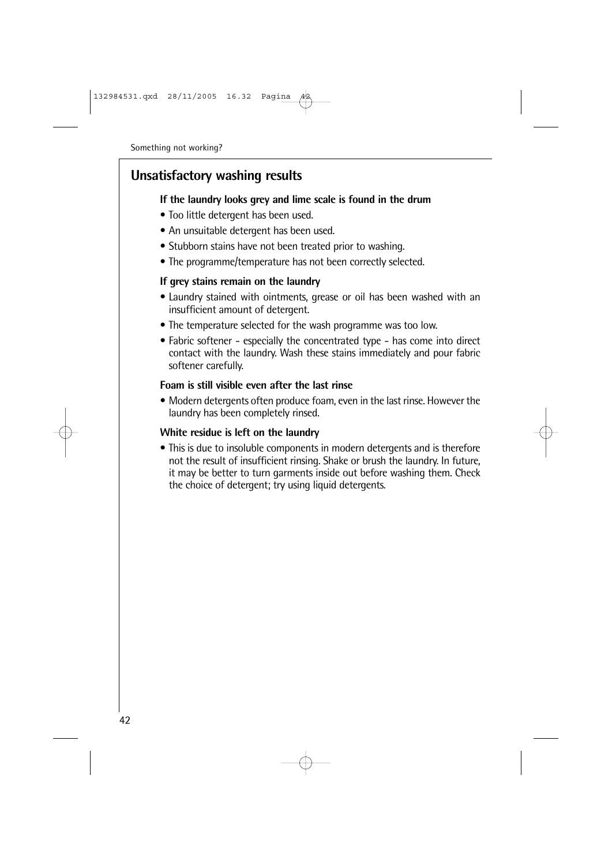### **Unsatisfactory washing results**

#### **If the laundry looks grey and lime scale is found in the drum**

- Too little detergent has been used.
- An unsuitable detergent has been used.
- Stubborn stains have not been treated prior to washing.
- The programme/temperature has not been correctly selected.

#### **If grey stains remain on the laundry**

- Laundry stained with ointments, grease or oil has been washed with an insufficient amount of detergent.
- The temperature selected for the wash programme was too low.
- Fabric softener especially the concentrated type has come into direct contact with the laundry. Wash these stains immediately and pour fabric softener carefully.

#### **Foam is still visible even after the last rinse**

• Modern detergents often produce foam, even in the last rinse. However the laundry has been completely rinsed.

#### **White residue is left on the laundry**

• This is due to insoluble components in modern detergents and is therefore not the result of insufficient rinsing. Shake or brush the laundry. In future, it may be better to turn garments inside out before washing them. Check the choice of detergent; try using liquid detergents.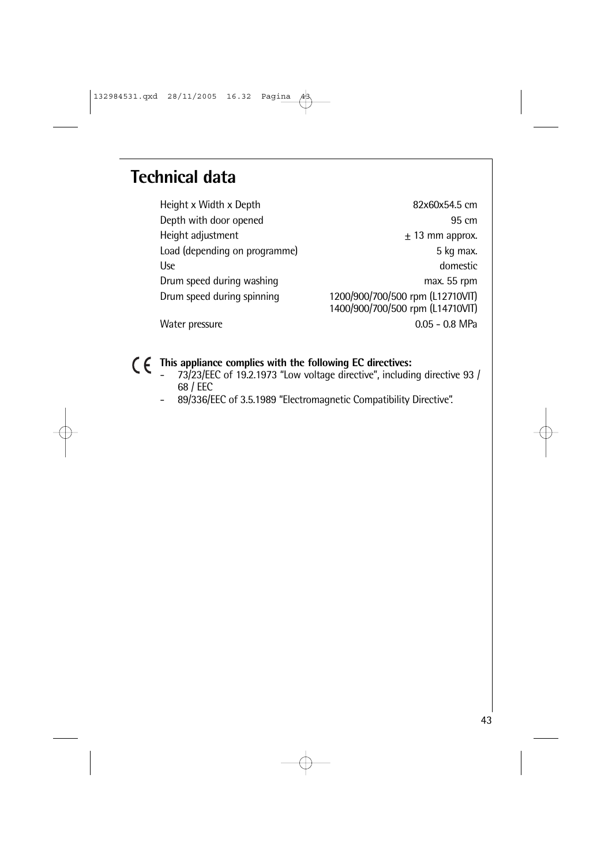# **Technical data**

Height x Width x Depth 82x60x54.5 cm Depth with door opened 95 cm Height adjustment  $\pm$  13 mm approx. Load (depending on programme) 5 kg max. Use domestic Drum speed during washing max. 55 rpm Drum speed during spinning 1200/900/700/500 rpm (L12710VIT) 1400/900/700/500 rpm (L14710VIT) Water pressure 0.05 - 0.8 MPa

**This appliance complies with the following EC directives:**

- 73/23/EEC of 19.2.1973 "Low voltage directive", including directive 93 / 68 / EEC
- 89/336/EEC of 3.5.1989 "Electromagnetic Compatibility Directive".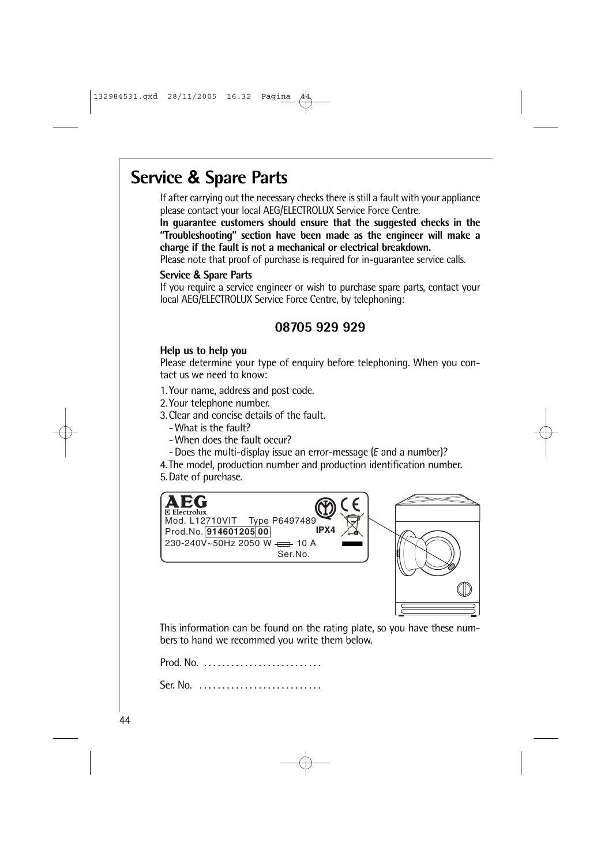# **Service & Spare Parts**

If after carrying out the necessary checks there is still a fault with your appliance please contact your local AEG/ELECTROLUX Service Force Centre.

**In guarantee customers should ensure that the suggested checks in the "Troubleshooting" section have been made as the engineer will make a charge if the fault is not a mechanical or electrical breakdown.**

Please note that proof of purchase is required for in-guarantee service calls.

#### **Service & Spare Parts**

If you require a service engineer or wish to purchase spare parts, contact your local AEG/ELECTROLUX Service Force Centre, by telephoning:

### **08705 929 929**

#### **Help us to help you**

Please determine your type of enquiry before telephoning. When you contact us we need to know:

- 1.Your name, address and post code.
- 2.Your telephone number.
- 3.Clear and concise details of the fault.
	- -What is the fault?
	- -When does the fault occur?
	- -Does the multi-display issue an error-message (E and a number)?
- 4.The model, production number and production identification number.

5.Date of purchase.



This information can be found on the rating plate, so you have these numbers to hand we recommed you write them below.

Prod. No. . . . . . . . . . . . . . . . . . . . . . . . . . .

Ser. No. . . . . . . . . . . . . . . . . . . . . . . . . . . .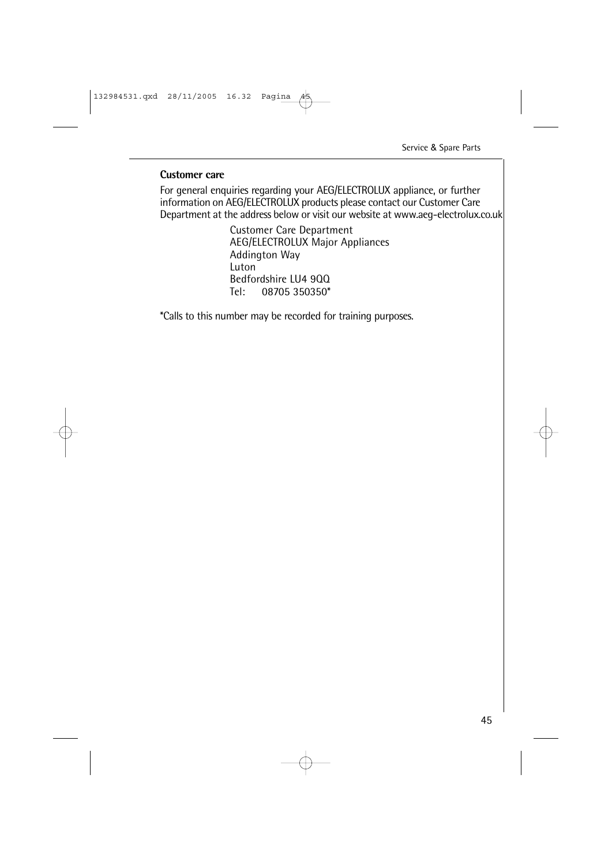#### **Customer care**

For general enquiries regarding your AEG/ELECTROLUX appliance, or further information on AEG/ELECTROLUX products please contact our Customer Care Department at the address below or visit our website at www.aeg-electrolux.co.uk

> Customer Care Department AEG/ELECTROLUX Major Appliances Addington Way Luton Bedfordshire LU4 900<br>Tel: 08705 350350\* 08705 350350\*

\*Calls to this number may be recorded for training purposes.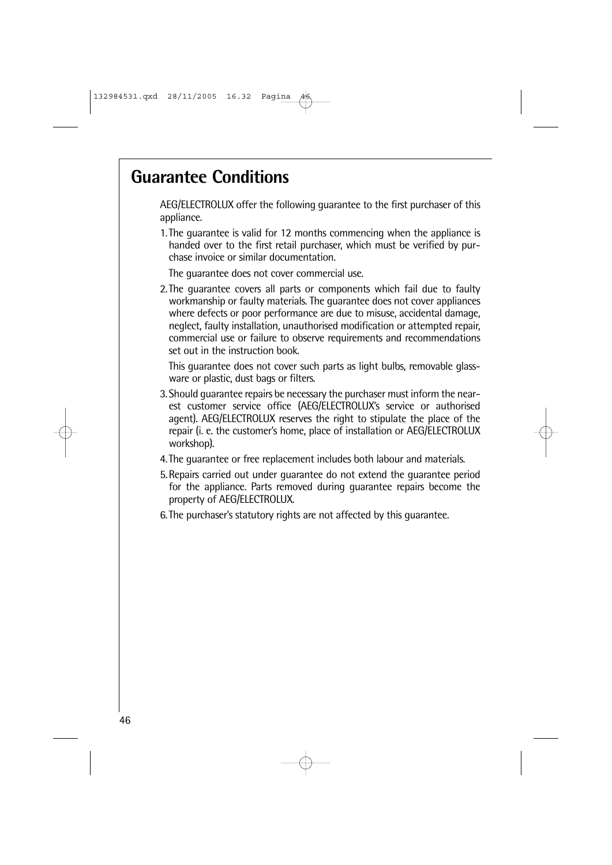# **Guarantee Conditions**

AEG/ELECTROLUX offer the following guarantee to the first purchaser of this appliance.

1.The guarantee is valid for 12 months commencing when the appliance is handed over to the first retail purchaser, which must be verified by purchase invoice or similar documentation.

The guarantee does not cover commercial use.

2.The guarantee covers all parts or components which fail due to faulty workmanship or faulty materials. The guarantee does not cover appliances where defects or poor performance are due to misuse, accidental damage, neglect, faulty installation, unauthorised modification or attempted repair, commercial use or failure to observe requirements and recommendations set out in the instruction book.

This guarantee does not cover such parts as light bulbs, removable glassware or plastic, dust bags or filters.

- 3.Should guarantee repairs be necessary the purchaser must inform the nearest customer service office (AEG/ELECTROLUX's service or authorised agent). AEG/ELECTROLUX reserves the right to stipulate the place of the repair (i. e. the customer's home, place of installation or AEG/ELECTROLUX workshop).
- 4.The guarantee or free replacement includes both labour and materials.
- 5.Repairs carried out under guarantee do not extend the guarantee period for the appliance. Parts removed during guarantee repairs become the property of AEG/ELECTROLUX.
- 6.The purchaser's statutory rights are not affected by this guarantee.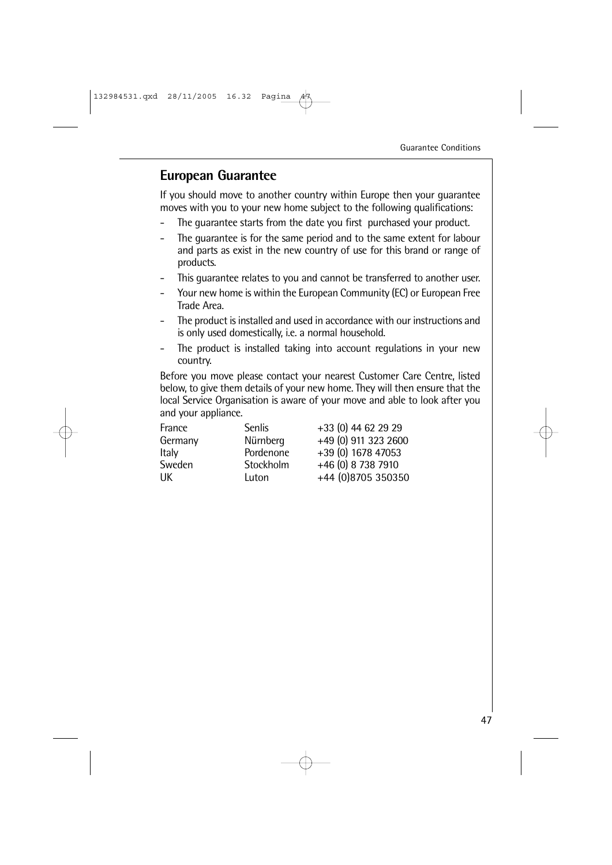### **European Guarantee**

If you should move to another country within Europe then your guarantee moves with you to your new home subject to the following qualifications:

- The quarantee starts from the date you first purchased your product.
- The guarantee is for the same period and to the same extent for labour and parts as exist in the new country of use for this brand or range of products.
- This guarantee relates to you and cannot be transferred to another user.
- Your new home is within the European Community (EC) or European Free Trade Area.
- The product is installed and used in accordance with our instructions and is only used domestically, i.e. a normal household.
- The product is installed taking into account regulations in your new country.

Before you move please contact your nearest Customer Care Centre, listed below, to give them details of your new home. They will then ensure that the local Service Organisation is aware of your move and able to look after you and your appliance.

| France  | <b>Senlis</b> | +33 (0) 44 62 29 29  |
|---------|---------------|----------------------|
| Germany | Nürnberg      | +49 (0) 911 323 2600 |
| Italy   | Pordenone     | +39 (0) 1678 47053   |
| Sweden  | Stockholm     | +46 (0) 8 738 7910   |
| UК      | Luton         | +44 (0)8705 350350   |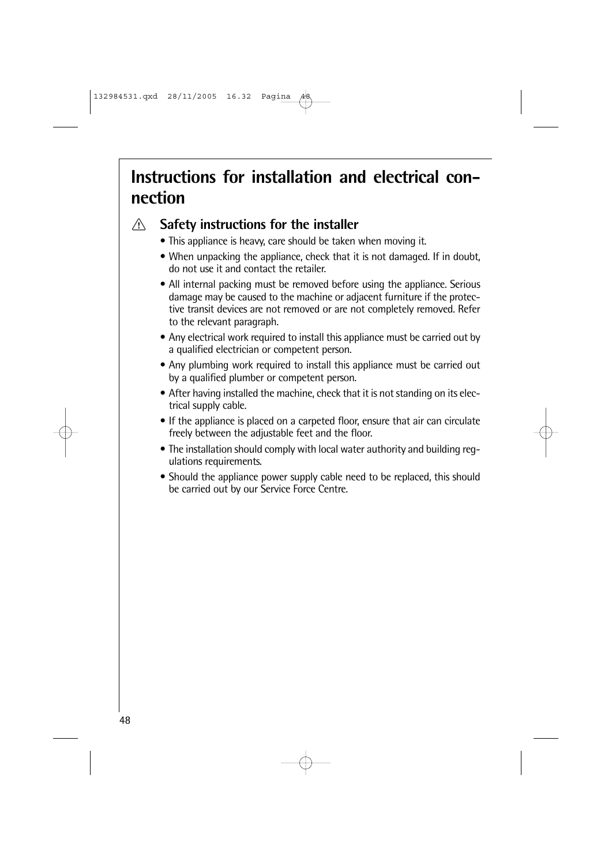# **Instructions for installation and electrical connection**

 $\bigwedge$ 

# **Safety instructions for the installer**

- This appliance is heavy, care should be taken when moving it.
- When unpacking the appliance, check that it is not damaged. If in doubt, do not use it and contact the retailer.
- All internal packing must be removed before using the appliance. Serious damage may be caused to the machine or adjacent furniture if the protective transit devices are not removed or are not completely removed. Refer to the relevant paragraph.
- Any electrical work required to install this appliance must be carried out by a qualified electrician or competent person.
- Any plumbing work required to install this appliance must be carried out by a qualified plumber or competent person.
- After having installed the machine, check that it is not standing on its electrical supply cable.
- If the appliance is placed on a carpeted floor, ensure that air can circulate freely between the adjustable feet and the floor.
- The installation should comply with local water authority and building regulations requirements.
- Should the appliance power supply cable need to be replaced, this should be carried out by our Service Force Centre.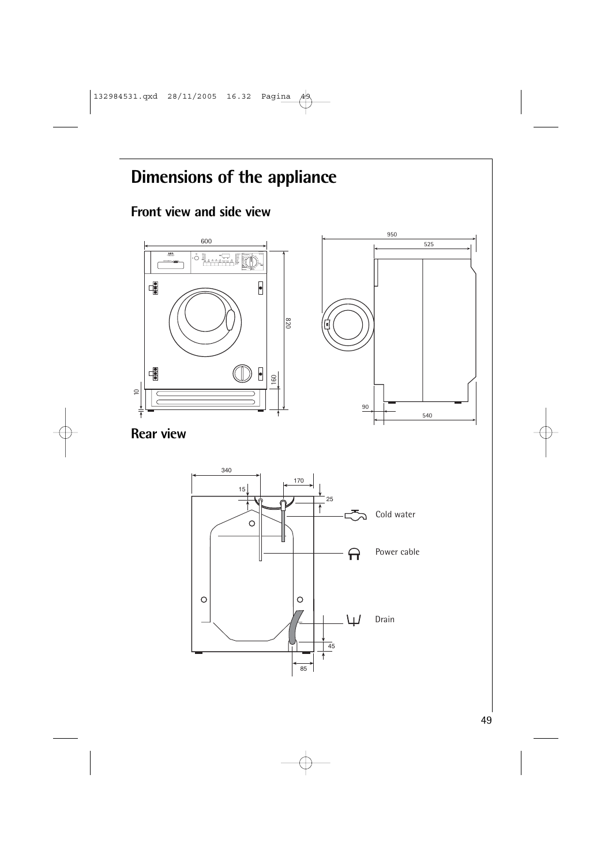# **Dimensions of the appliance**

# **Front view and side view**



**Rear view**

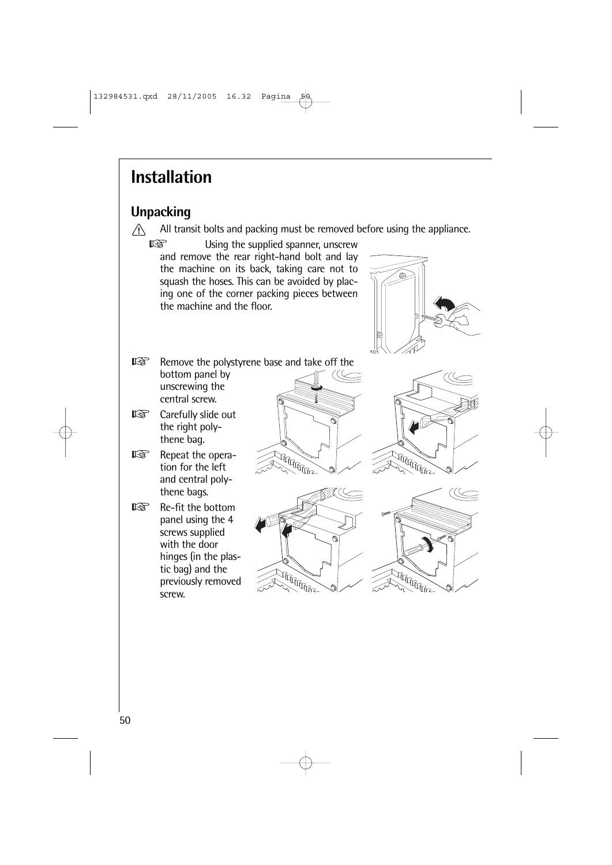# **Installation**

# **Unpacking**

 $\bigwedge$ All transit bolts and packing must be removed before using the appliance.

**I**s Using the supplied spanner, unscrew and remove the rear right-hand bolt and lay the machine on its back, taking care not to squash the hoses. This can be avoided by placing one of the corner packing pieces between the machine and the floor.



- $\mathbb{R}$ Remove the polystyrene base and take off the bottom panel by unscrewing the central screw.
- $\mathbb{R}$ Carefully slide out the right polythene bag.
- Repeat the opera- $\mathbb{R}$ tion for the left and central polythene bags.
- $\mathbb{R}$ Re-fit the bottom panel using the 4 screws supplied with the door hinges (in the plastic bag) and the previously removed screw.







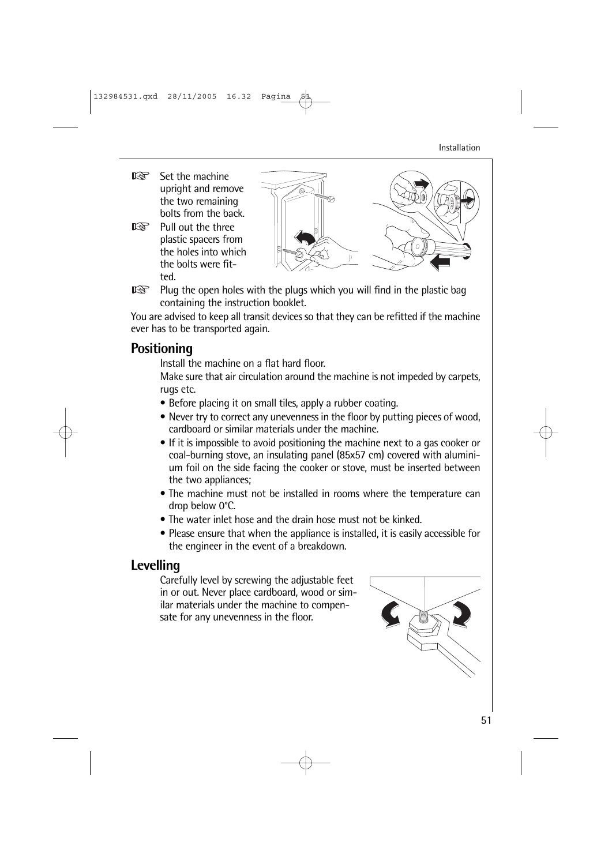- KQ. Set the machine upright and remove the two remaining bolts from the back.
- KS. Pull out the three plastic spacers from the holes into which the bolts were fitted.





You are advised to keep all transit devices so that they can be refitted if the machine ever has to be transported again.

### **Positioning**

Install the machine on a flat hard floor.

Make sure that air circulation around the machine is not impeded by carpets, rugs etc.

- Before placing it on small tiles, apply a rubber coating.
- Never try to correct any unevenness in the floor by putting pieces of wood, cardboard or similar materials under the machine.
- If it is impossible to avoid positioning the machine next to a gas cooker or coal-burning stove, an insulating panel (85x57 cm) covered with aluminium foil on the side facing the cooker or stove, must be inserted between the two appliances;
- The machine must not be installed in rooms where the temperature can drop below 0°C.
- The water inlet hose and the drain hose must not be kinked.
- Please ensure that when the appliance is installed, it is easily accessible for the engineer in the event of a breakdown.

# **Levelling**

Carefully level by screwing the adjustable feet in or out. Never place cardboard, wood or similar materials under the machine to compensate for any unevenness in the floor.

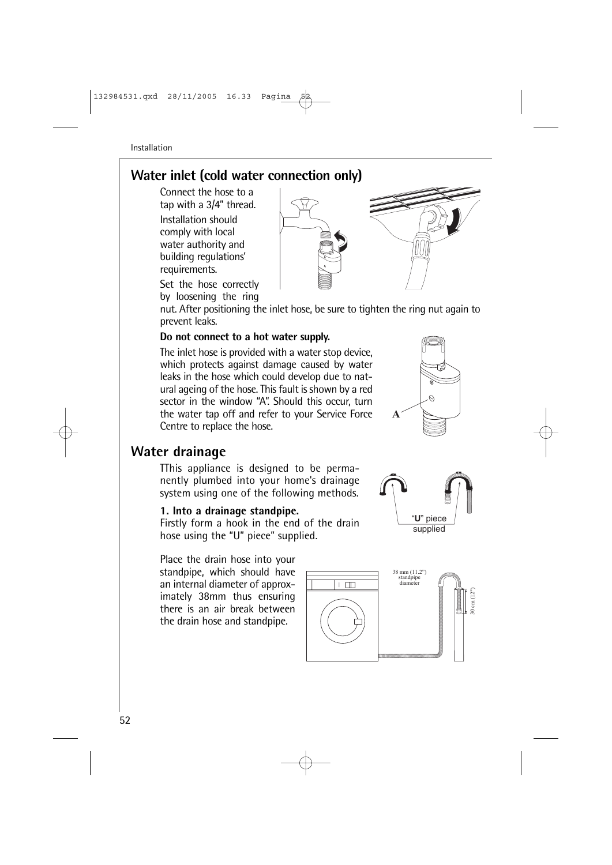# **Water inlet (cold water connection only)**

Connect the hose to a tap with a 3/4" thread.

Installation should comply with local water authority and building regulations' requirements.

Set the hose correctly by loosening the ring

nut. After positioning the inlet hose, be sure to tighten the ring nut again to prevent leaks.

#### **Do not connect to a hot water supply.**

The inlet hose is provided with a water stop device, which protects against damage caused by water leaks in the hose which could develop due to natural ageing of the hose. This fault is shown by a red sector in the window "A". Should this occur, turn the water tap off and refer to your Service Force Centre to replace the hose.

### **Water drainage**

TThis appliance is designed to be permanently plumbed into your home's drainage system using one of the following methods.

#### **1. Into a drainage standpipe.**

Firstly form a hook in the end of the drain hose using the "U" piece" supplied.

Place the drain hose into your standpipe, which should have an internal diameter of approximately 38mm thus ensuring there is an air break between the drain hose and standpipe.







**-**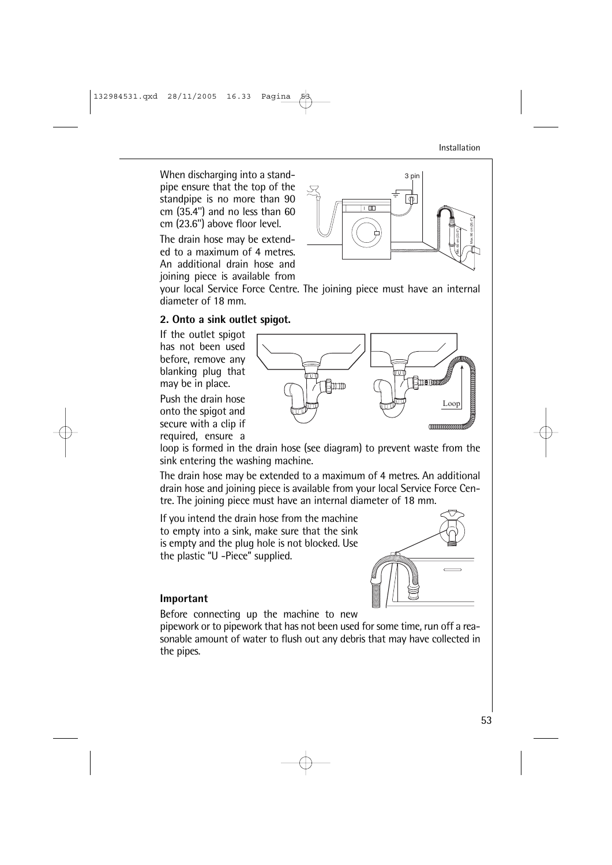53

Installation

When discharging into a standpipe ensure that the top of the standpipe is no more than 90 cm (35.4'') and no less than 60 cm (23.6'') above floor level.

The drain hose may be extended to a maximum of 4 metres. An additional drain hose and joining piece is available from

your local Service Force Centre. The joining piece must have an internal diameter of 18 mm.

#### **2. Onto a sink outlet spigot.**

If the outlet spigot has not been used before, remove any blanking plug that may be in place.

Push the drain hose onto the spigot and secure with a clip if required, ensure a

loop is formed in the drain hose (see diagram) to prevent waste from the sink entering the washing machine.

The drain hose may be extended to a maximum of 4 metres. An additional drain hose and joining piece is available from your local Service Force Centre. The joining piece must have an internal diameter of 18 mm.

If you intend the drain hose from the machine to empty into a sink, make sure that the sink is empty and the plug hole is not blocked. Use the plastic "U -Piece" supplied.



Before connecting up the machine to new

pipework or to pipework that has not been used for some time, run off a reasonable amount of water to flush out any debris that may have collected in the pipes.





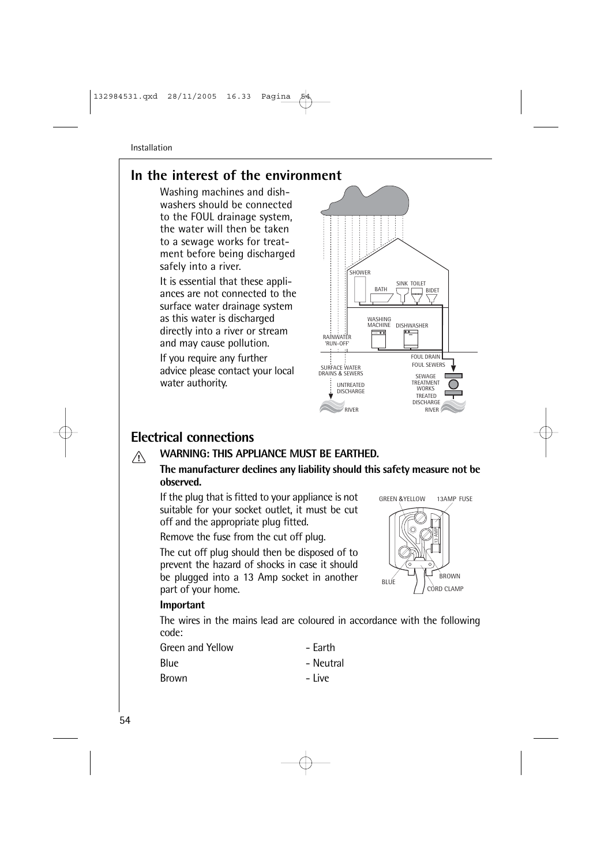# **In the interest of the environment**

Washing machines and dishwashers should be connected to the FOUL drainage system, the water will then be taken to a sewage works for treatment before being discharged safely into a river. Installation<br> **In the interest of the environment**<br>
Washing machines and dish-<br>
washers should be connected<br>
to the FOUL drainage system,<br>
the water will then be taken<br>
to a sewage works for treat-<br>
ment before being disc

It is essential that these appliances are not connected to the surface water drainage system as this water is discharged directly into a river or stream and may cause pollution.

If you require any further advice please contact your local water authority.



# **Electrical connections**

#### **WARNING: THIS APPLIANCE MUST BE EARTHED.**  $\bigwedge$

#### **The manufacturer declines any liability should this safety measure not be observed.**

If the plug that is fitted to your appliance is not suitable for your socket outlet, it must be cut off and the appropriate plug fitted.

Remove the fuse from the cut off plug.

The cut off plug should then be disposed of to prevent the hazard of shocks in case it should be plugged into a 13 Amp socket in another part of your home.



#### **Important**

The wires in the mains lead are coloured in accordance with the following code:

| Green and Yellow | - Farth   |
|------------------|-----------|
| Blue             | - Neutral |
| Brown            | – Live    |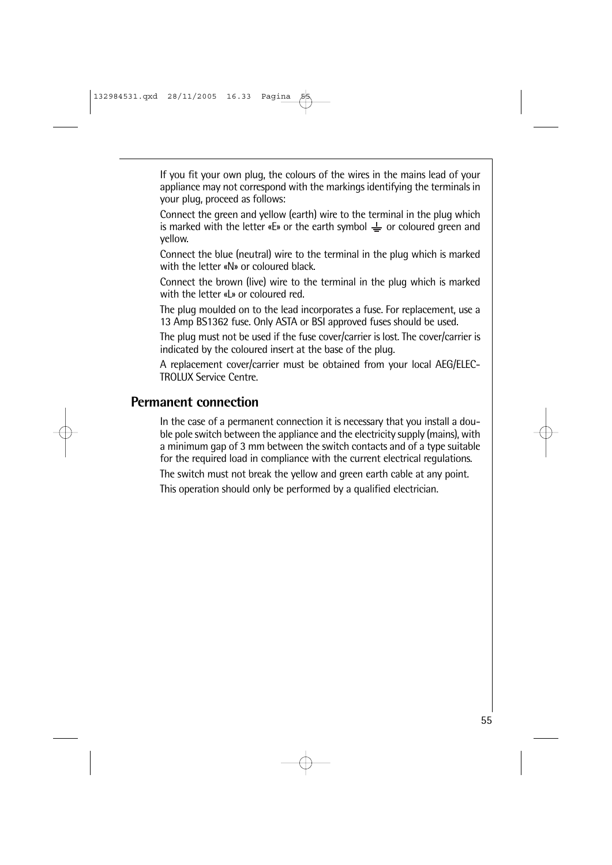If you fit your own plug, the colours of the wires in the mains lead of your appliance may not correspond with the markings identifying the terminals in your plug, proceed as follows:

Connect the green and yellow (earth) wire to the terminal in the plug which is marked with the letter «E» or the earth symbol  $\frac{1}{x}$  or coloured green and yellow.

Connect the blue (neutral) wire to the terminal in the plug which is marked with the letter «N» or coloured black.

Connect the brown (live) wire to the terminal in the plug which is marked with the letter «L» or coloured red.

The plug moulded on to the lead incorporates a fuse. For replacement, use a 13 Amp BS1362 fuse. Only ASTA or BSI approved fuses should be used.

The plug must not be used if the fuse cover/carrier is lost. The cover/carrier is indicated by the coloured insert at the base of the plug.

A replacement cover/carrier must be obtained from your local AEG/ELEC-TROLUX Service Centre.

### **Permanent connection**

In the case of a permanent connection it is necessary that you install a double pole switch between the appliance and the electricity supply (mains), with a minimum gap of 3 mm between the switch contacts and of a type suitable for the required load in compliance with the current electrical regulations.

The switch must not break the yellow and green earth cable at any point.

This operation should only be performed by a qualified electrician.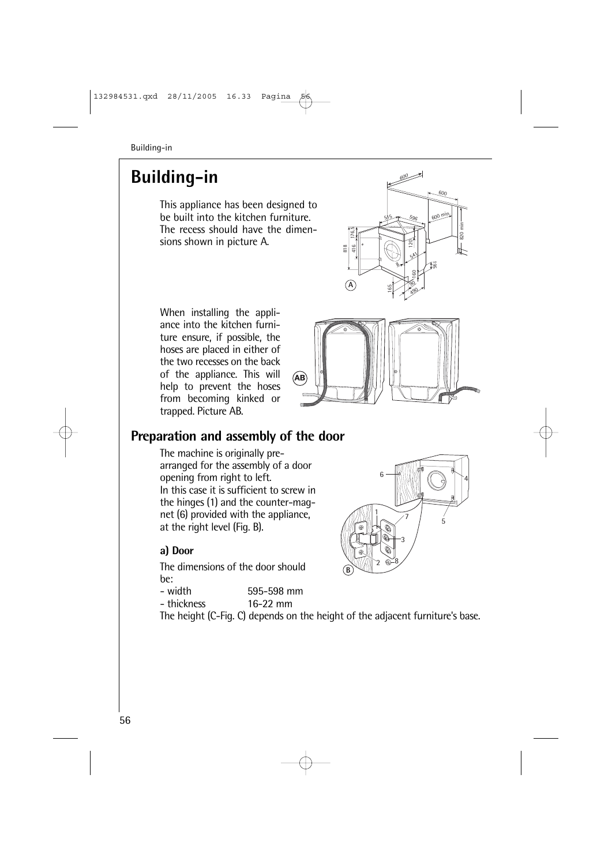# **Building-in**

This appliance has been designed to be built into the kitchen furniture. The recess should have the dimensions shown in picture A.



When installing the appliance into the kitchen furniture ensure, if possible, the hoses are placed in either of the two recesses on the back of the appliance. This will help to prevent the hoses from becoming kinked or trapped. Picture AB.



 $\overline{\mathbb{R}}$ 

+

 $\overline{8}$ 

 $7 / 5$ 

1

 $\mathbf{r}$ 

**-**

6

 $\overline{\mathcal{L}}$ 

# **Preparation and assembly of the door**

The machine is originally prearranged for the assembly of a door opening from right to left. In this case it is sufficient to screw in the hinges (1) and the counter-magnet (6) provided with the appliance, at the right level (Fig. B).

#### **a) Door**

The dimensions of the door should be:<br>- width

- 595-598 mm
- thickness 16-22 mm

The height (C-Fig. C) depends on the height of the adjacent furniture's base.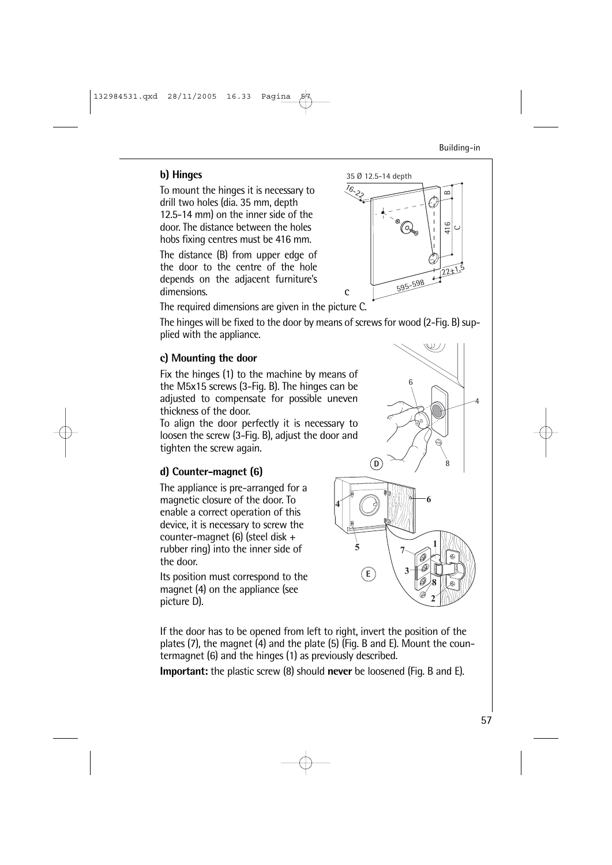#### **b) Hinges**

To mount the hinges it is necessary to drill two holes (dia. 35 mm, depth 12.5-14 mm) on the inner side of the door. The distance between the holes hobs fixing centres must be 416 mm.

The distance (B) from upper edge of the door to the centre of the hole depends on the adjacent furniture's dimensions.

The required dimensions are given in the picture C.

The hinges will be fixed to the door by means of screws for wood (2-Fig. B) supplied with the appliance.

#### **c) Mounting the door**

Fix the hinges (1) to the machine by means of the M5x15 screws (3-Fig. B). The hinges can be adjusted to compensate for possible uneven thickness of the door.

To align the door perfectly it is necessary to loosen the screw (3-Fig. B), adjust the door and tighten the screw again.

#### **d) Counter-magnet (6)**

The appliance is pre-arranged for a magnetic closure of the door. To enable a correct operation of this device, it is necessary to screw the counter-magnet (6) (steel disk + rubber ring) into the inner side of the door.

Its position must correspond to the magnet (4) on the appliance (see picture D).

If the door has to be opened from left to right, invert the position of the plates (7), the magnet (4) and the plate (5) (Fig. B and E). Mount the countermagnet (6) and the hinges (1) as previously described.

**Important:** the plastic screw (8) should **never** be loosened (Fig. B and E).



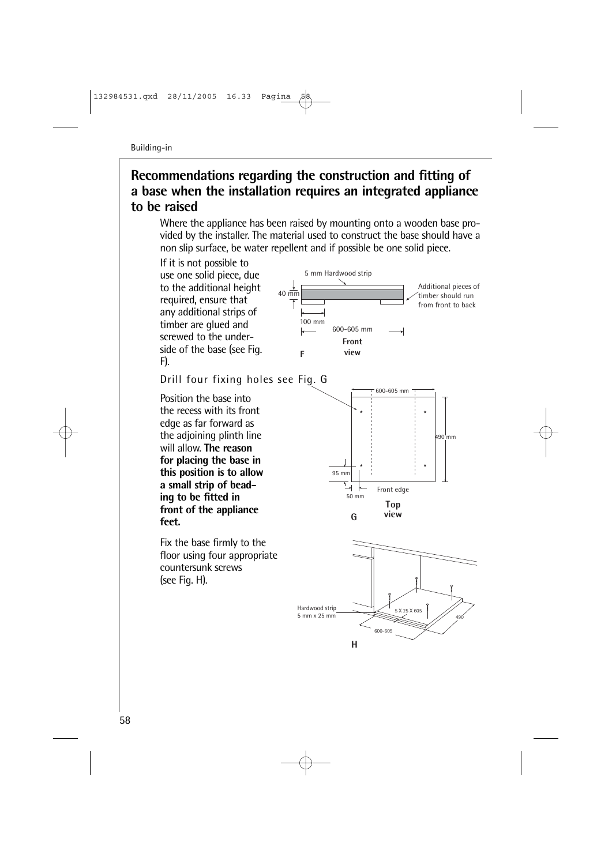### **Recommendations regarding the construction and fitting of a base when the installation requires an integrated appliance to be raised**

Where the appliance has been raised by mounting onto a wooden base provided by the installer. The material used to construct the base should have a non slip surface, be water repellent and if possible be one solid piece.

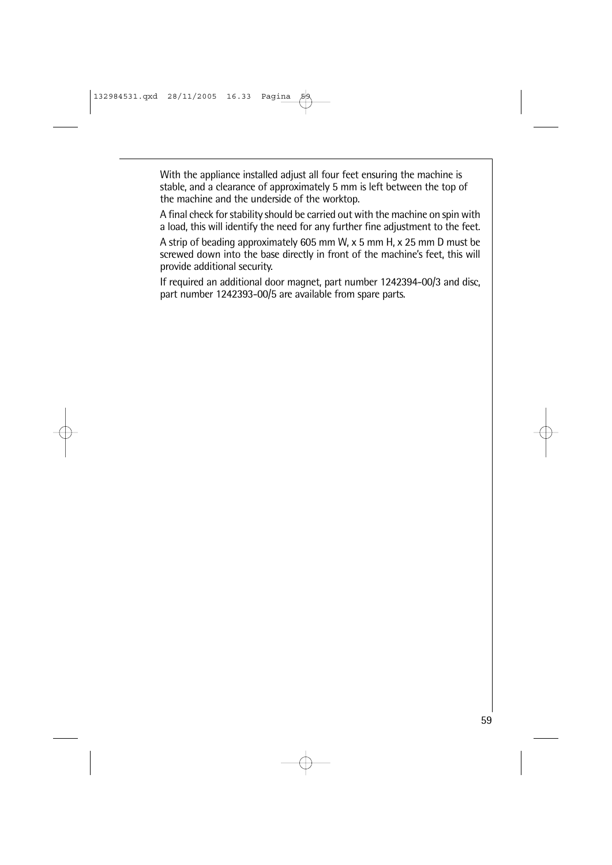With the appliance installed adjust all four feet ensuring the machine is stable, and a clearance of approximately 5 mm is left between the top of the machine and the underside of the worktop.

A final check for stability should be carried out with the machine on spin with a load, this will identify the need for any further fine adjustment to the feet.

A strip of beading approximately 605 mm W, x 5 mm H, x 25 mm D must be screwed down into the base directly in front of the machine's feet, this will provide additional security.

If required an additional door magnet, part number 1242394-00/3 and disc, part number 1242393-00/5 are available from spare parts.